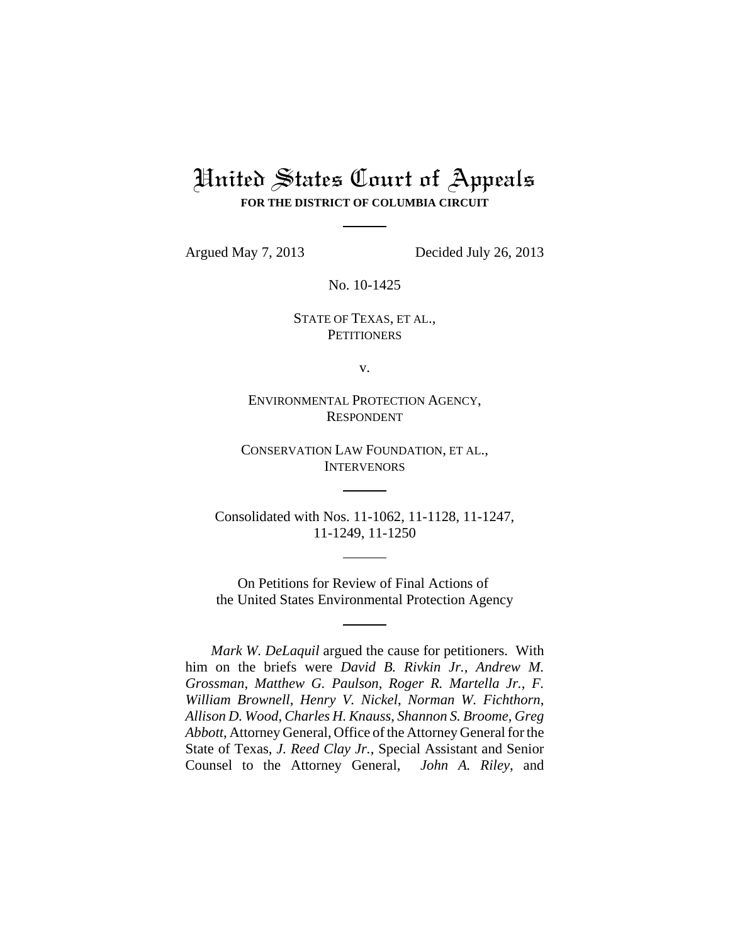# United States Court of Appeals **FOR THE DISTRICT OF COLUMBIA CIRCUIT**

Argued May 7, 2013 Decided July 26, 2013

No. 10-1425

STATE OF TEXAS, ET AL., **PETITIONERS** 

v.

ENVIRONMENTAL PROTECTION AGENCY, RESPONDENT

CONSERVATION LAW FOUNDATION, ET AL., **INTERVENORS** 

Consolidated with Nos. 11-1062, 11-1128, 11-1247, 11-1249, 11-1250

On Petitions for Review of Final Actions of the United States Environmental Protection Agency

*Mark W. DeLaquil* argued the cause for petitioners. With him on the briefs were *David B. Rivkin Jr.*, *Andrew M. Grossman*, *Matthew G. Paulson*, *Roger R. Martella Jr.*, *F. William Brownell*, *Henry V. Nickel*, *Norman W. Fichthorn*, *Allison D. Wood*, *Charles H. Knauss*, *Shannon S. Broome*, *Greg Abbott*, Attorney General, Office of the Attorney General for the State of Texas, *J. Reed Clay Jr.*, Special Assistant and Senior Counsel to the Attorney General, *John A. Riley*, and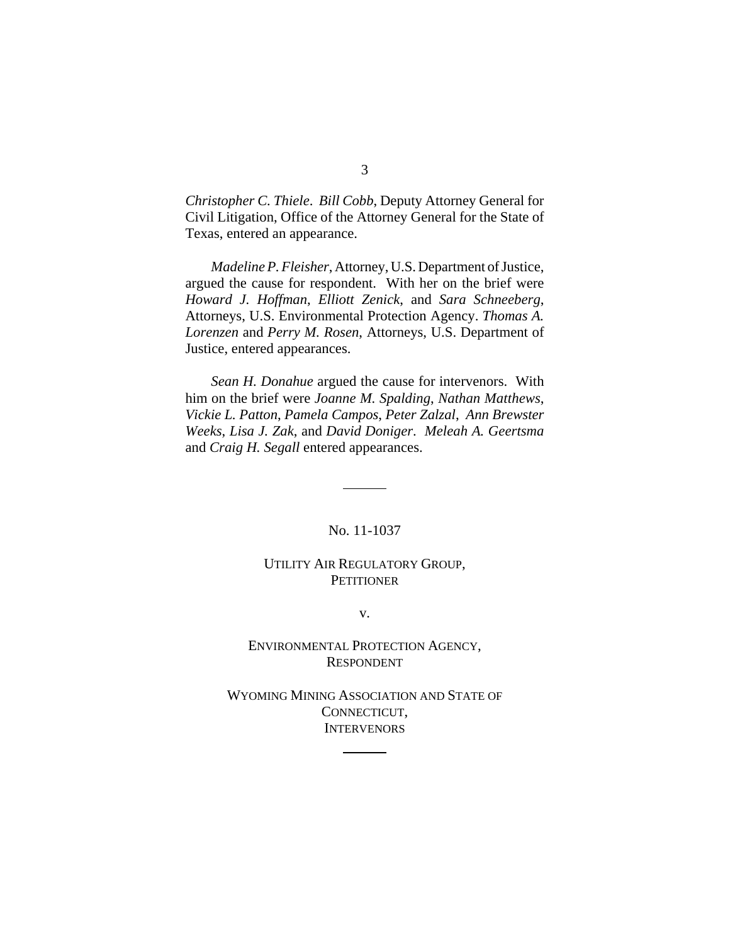*Christopher C. Thiele*. *Bill Cobb*, Deputy Attorney General for Civil Litigation, Office of the Attorney General for the State of Texas, entered an appearance.

*Madeline P. Fleisher*, Attorney, U.S. Department of Justice, argued the cause for respondent. With her on the brief were *Howard J. Hoffman*, *Elliott Zenick*, and *Sara Schneeberg*, Attorneys, U.S. Environmental Protection Agency. *Thomas A. Lorenzen* and *Perry M. Rosen*, Attorneys, U.S. Department of Justice, entered appearances.

*Sean H. Donahue* argued the cause for intervenors. With him on the brief were *Joanne M. Spalding*, *Nathan Matthews*, *Vickie L. Patton*, *Pamela Campos*, *Peter Zalzal*, *Ann Brewster Weeks*, *Lisa J. Zak*, and *David Doniger*. *Meleah A. Geertsma* and *Craig H. Segall* entered appearances.

### No. 11-1037

## UTILITY AIR REGULATORY GROUP, **PETITIONER**

v.

ENVIRONMENTAL PROTECTION AGENCY, RESPONDENT

WYOMING MINING ASSOCIATION AND STATE OF CONNECTICUT, **INTERVENORS**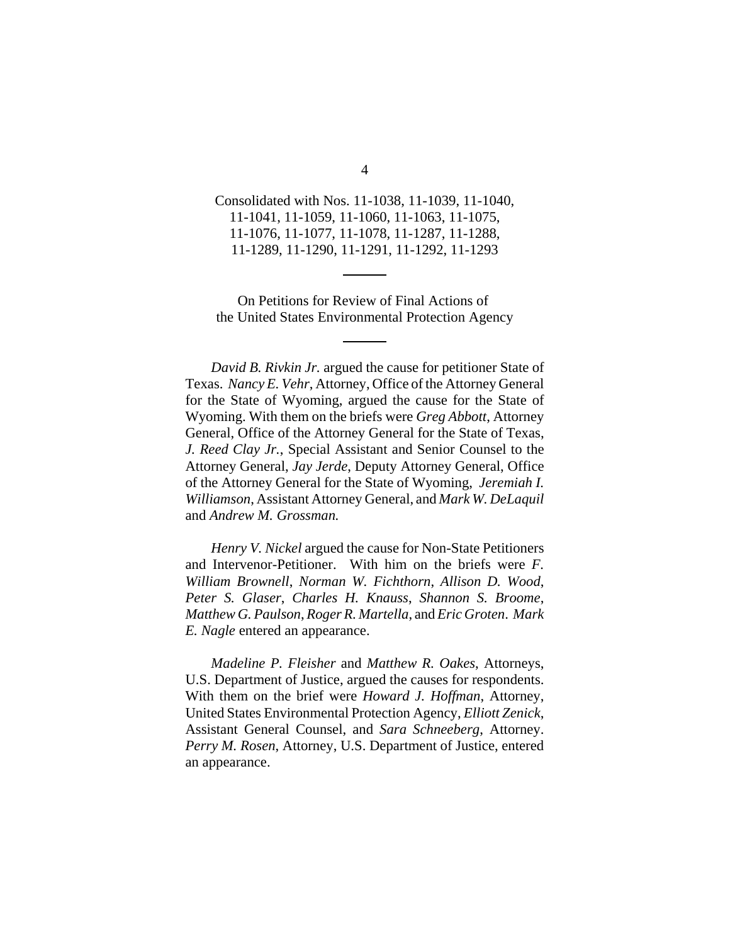Consolidated with Nos. 11-1038, 11-1039, 11-1040, 11-1041, 11-1059, 11-1060, 11-1063, 11-1075, 11-1076, 11-1077, 11-1078, 11-1287, 11-1288, 11-1289, 11-1290, 11-1291, 11-1292, 11-1293

On Petitions for Review of Final Actions of the United States Environmental Protection Agency

*David B. Rivkin Jr.* argued the cause for petitioner State of Texas. *Nancy E. Vehr*, Attorney, Office of the Attorney General for the State of Wyoming, argued the cause for the State of Wyoming. With them on the briefs were *Greg Abbott*, Attorney General, Office of the Attorney General for the State of Texas, *J. Reed Clay Jr.*, Special Assistant and Senior Counsel to the Attorney General, *Jay Jerde*, Deputy Attorney General, Office of the Attorney General for the State of Wyoming, *Jeremiah I. Williamson*, Assistant Attorney General, and *Mark W. DeLaquil* and *Andrew M. Grossman.* 

*Henry V. Nickel* argued the cause for Non-State Petitioners and Intervenor-Petitioner. With him on the briefs were *F. William Brownell*, *Norman W. Fichthorn*, *Allison D. Wood*, *Peter S. Glaser*, *Charles H. Knauss*, *Shannon S. Broome*, *Matthew G. Paulson*, *Roger R. Martella*, and *Eric Groten*. *Mark E. Nagle* entered an appearance.

*Madeline P. Fleisher* and *Matthew R. Oakes*, Attorneys, U.S. Department of Justice, argued the causes for respondents. With them on the brief were *Howard J. Hoffman*, Attorney, United States Environmental Protection Agency, *Elliott Zenick*, Assistant General Counsel, and *Sara Schneeberg*, Attorney. *Perry M. Rosen*, Attorney, U.S. Department of Justice, entered an appearance.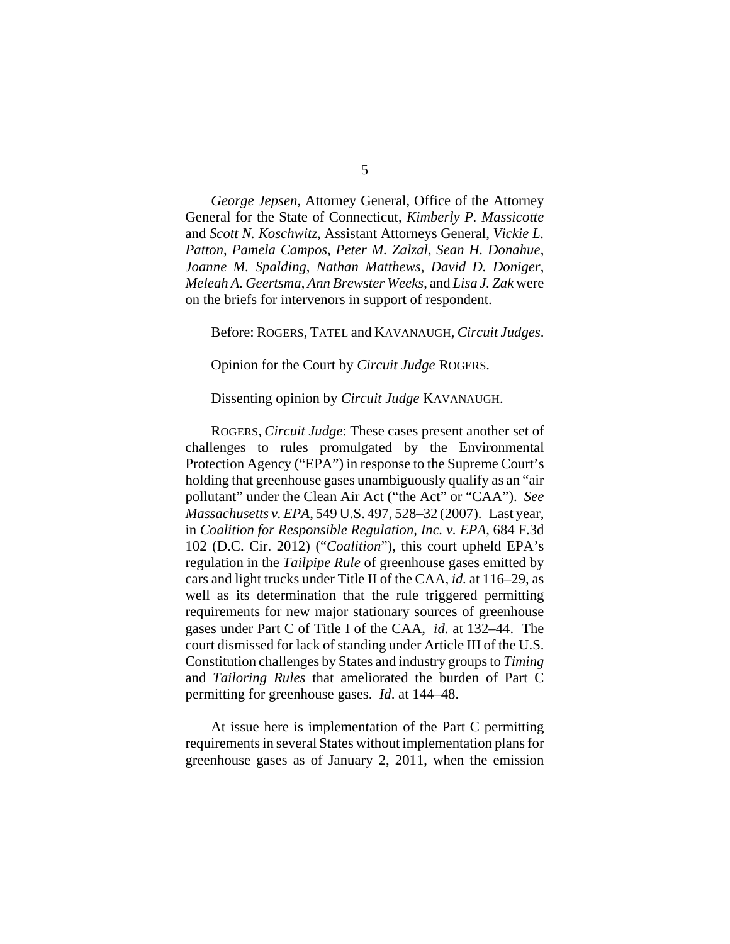*George Jepsen*, Attorney General, Office of the Attorney General for the State of Connecticut, *Kimberly P. Massicotte* and *Scott N. Koschwitz*, Assistant Attorneys General, *Vickie L. Patton*, *Pamela Campos*, *Peter M. Zalzal*, *Sean H. Donahue*, *Joanne M. Spalding*, *Nathan Matthews*, *David D. Doniger*, *Meleah A. Geertsma*, *Ann Brewster Weeks*, and *Lisa J. Zak* were on the briefs for intervenors in support of respondent.

Before: ROGERS, TATEL and KAVANAUGH, *Circuit Judges*.

Opinion for the Court by *Circuit Judge* ROGERS.

Dissenting opinion by *Circuit Judge* KAVANAUGH.

ROGERS, *Circuit Judge*: These cases present another set of challenges to rules promulgated by the Environmental Protection Agency ("EPA") in response to the Supreme Court's holding that greenhouse gases unambiguously qualify as an "air pollutant" under the Clean Air Act ("the Act" or "CAA"). *See Massachusetts v. EPA*, 549 U.S. 497, 528–32 (2007). Last year, in *Coalition for Responsible Regulation, Inc. v. EPA*, 684 F.3d 102 (D.C. Cir. 2012) ("*Coalition*"), this court upheld EPA's regulation in the *Tailpipe Rule* of greenhouse gases emitted by cars and light trucks under Title II of the CAA, *id.* at 116–29, as well as its determination that the rule triggered permitting requirements for new major stationary sources of greenhouse gases under Part C of Title I of the CAA, *id.* at 132–44. The court dismissed for lack of standing under Article III of the U.S. Constitution challenges by States and industry groups to *Timing* and *Tailoring Rules* that ameliorated the burden of Part C permitting for greenhouse gases. *Id*. at 144–48.

At issue here is implementation of the Part C permitting requirements in several States without implementation plans for greenhouse gases as of January 2, 2011, when the emission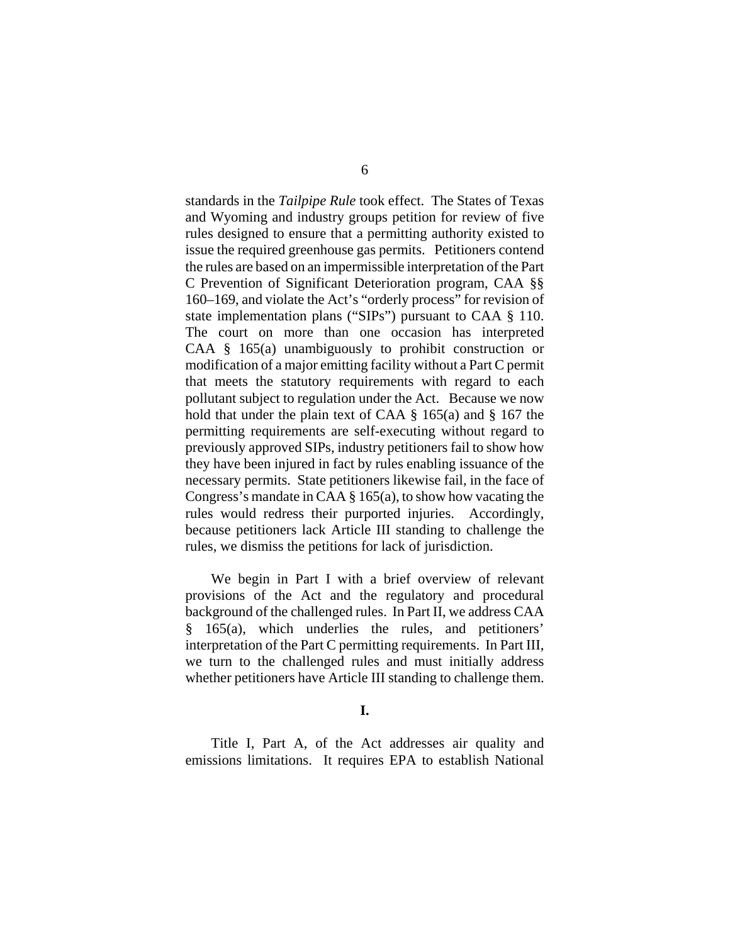standards in the *Tailpipe Rule* took effect. The States of Texas and Wyoming and industry groups petition for review of five rules designed to ensure that a permitting authority existed to issue the required greenhouse gas permits. Petitioners contend the rules are based on an impermissible interpretation of the Part C Prevention of Significant Deterioration program, CAA §§ 160–169, and violate the Act's "orderly process" for revision of state implementation plans ("SIPs") pursuant to CAA § 110. The court on more than one occasion has interpreted CAA § 165(a) unambiguously to prohibit construction or modification of a major emitting facility without a Part C permit that meets the statutory requirements with regard to each pollutant subject to regulation under the Act. Because we now hold that under the plain text of CAA § 165(a) and § 167 the permitting requirements are self-executing without regard to previously approved SIPs, industry petitioners fail to show how they have been injured in fact by rules enabling issuance of the necessary permits. State petitioners likewise fail, in the face of Congress's mandate in CAA § 165(a), to show how vacating the rules would redress their purported injuries. Accordingly, because petitioners lack Article III standing to challenge the rules, we dismiss the petitions for lack of jurisdiction.

We begin in Part I with a brief overview of relevant provisions of the Act and the regulatory and procedural background of the challenged rules. In Part II, we address CAA § 165(a), which underlies the rules, and petitioners' interpretation of the Part C permitting requirements. In Part III, we turn to the challenged rules and must initially address whether petitioners have Article III standing to challenge them.

## **I.**

Title I, Part A, of the Act addresses air quality and emissions limitations. It requires EPA to establish National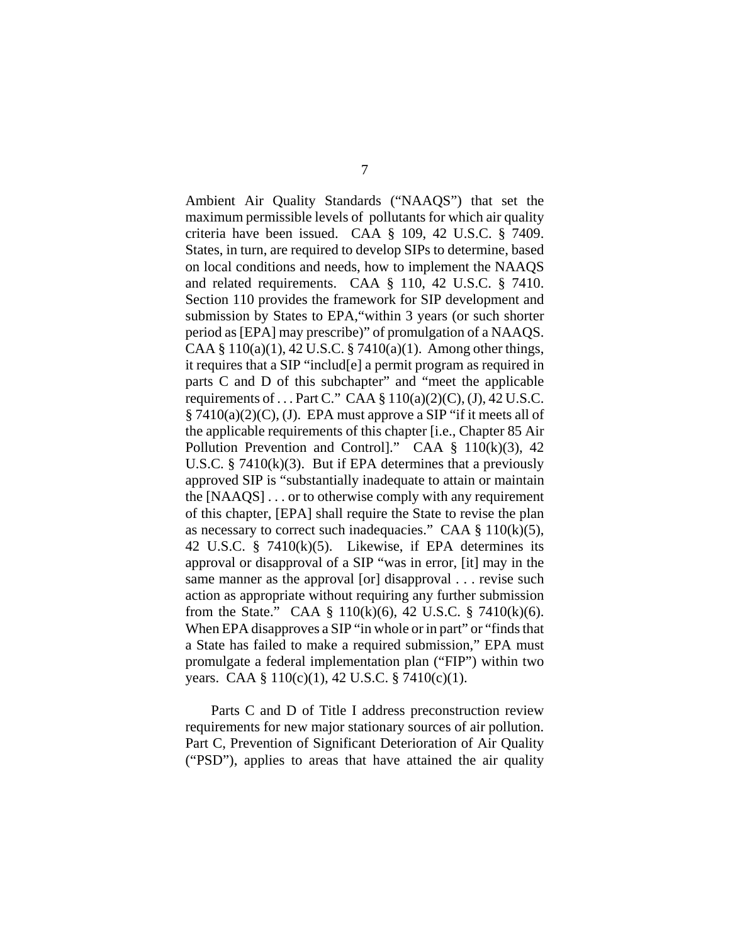Ambient Air Quality Standards ("NAAQS") that set the maximum permissible levels of pollutants for which air quality criteria have been issued. CAA § 109, 42 U.S.C. § 7409. States, in turn, are required to develop SIPs to determine, based on local conditions and needs, how to implement the NAAQS and related requirements. CAA § 110, 42 U.S.C. § 7410. Section 110 provides the framework for SIP development and submission by States to EPA,"within 3 years (or such shorter period as [EPA] may prescribe)" of promulgation of a NAAQS. CAA §  $110(a)(1)$ , 42 U.S.C. § 7410 $(a)(1)$ . Among other things, it requires that a SIP "includ[e] a permit program as required in parts C and D of this subchapter" and "meet the applicable requirements of  $\dots$  Part C." CAA § 110(a)(2)(C), (J), 42 U.S.C. § 7410(a)(2)(C), (J). EPA must approve a SIP "if it meets all of the applicable requirements of this chapter [i.e., Chapter 85 Air Pollution Prevention and Controll." CAA  $\S$  110(k)(3), 42 U.S.C.  $\S$  7410(k)(3). But if EPA determines that a previously approved SIP is "substantially inadequate to attain or maintain the [NAAQS] . . . or to otherwise comply with any requirement of this chapter, [EPA] shall require the State to revise the plan as necessary to correct such inadequacies." CAA  $\S$  110(k)(5), 42 U.S.C. § 7410(k)(5). Likewise, if EPA determines its approval or disapproval of a SIP "was in error, [it] may in the same manner as the approval [or] disapproval . . . revise such action as appropriate without requiring any further submission from the State." CAA  $\S$  110(k)(6), 42 U.S.C.  $\S$  7410(k)(6). When EPA disapproves a SIP "in whole or in part" or "finds that a State has failed to make a required submission," EPA must promulgate a federal implementation plan ("FIP") within two years. CAA § 110(c)(1), 42 U.S.C. § 7410(c)(1).

Parts C and D of Title I address preconstruction review requirements for new major stationary sources of air pollution. Part C, Prevention of Significant Deterioration of Air Quality ("PSD"), applies to areas that have attained the air quality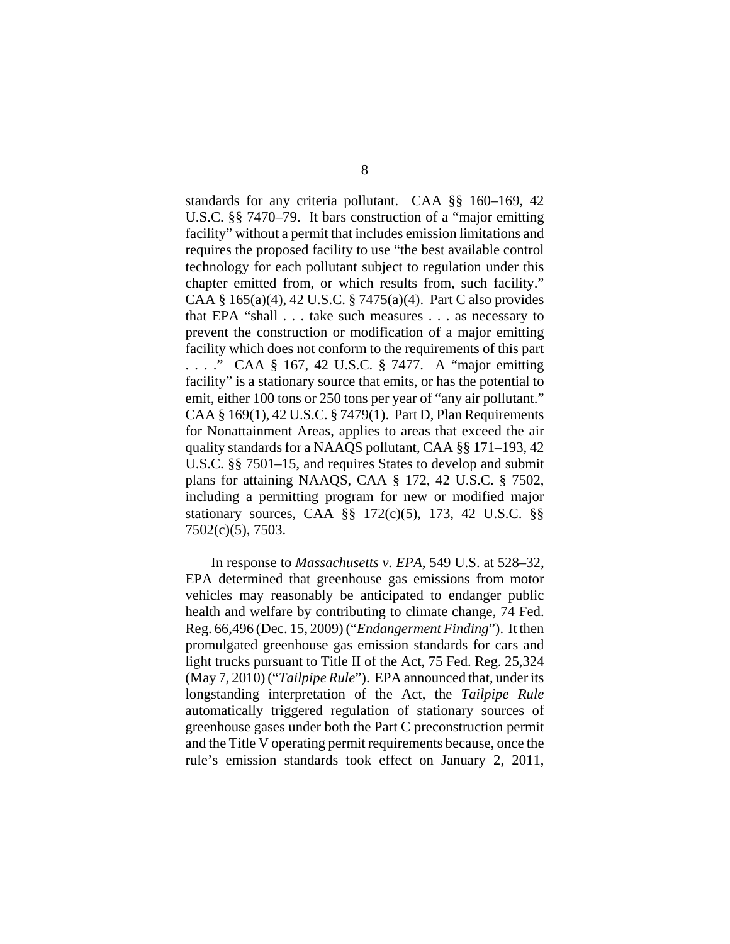standards for any criteria pollutant. CAA §§ 160–169, 42 U.S.C. §§ 7470–79. It bars construction of a "major emitting facility" without a permit that includes emission limitations and requires the proposed facility to use "the best available control technology for each pollutant subject to regulation under this chapter emitted from, or which results from, such facility." CAA § 165(a)(4), 42 U.S.C. § 7475(a)(4). Part C also provides that EPA "shall . . . take such measures . . . as necessary to prevent the construction or modification of a major emitting facility which does not conform to the requirements of this part . . . ." CAA § 167, 42 U.S.C. § 7477. A "major emitting facility" is a stationary source that emits, or has the potential to emit, either 100 tons or 250 tons per year of "any air pollutant." CAA § 169(1), 42 U.S.C. § 7479(1). Part D, Plan Requirements for Nonattainment Areas, applies to areas that exceed the air quality standards for a NAAQS pollutant, CAA §§ 171–193, 42 U.S.C. §§ 7501–15, and requires States to develop and submit plans for attaining NAAQS, CAA § 172, 42 U.S.C. § 7502, including a permitting program for new or modified major stationary sources, CAA §§ 172(c)(5), 173, 42 U.S.C. §§ 7502(c)(5), 7503.

In response to *Massachusetts v. EPA*, 549 U.S. at 528–32, EPA determined that greenhouse gas emissions from motor vehicles may reasonably be anticipated to endanger public health and welfare by contributing to climate change, 74 Fed. Reg. 66,496 (Dec. 15, 2009) ("*Endangerment Finding*"). It then promulgated greenhouse gas emission standards for cars and light trucks pursuant to Title II of the Act, 75 Fed. Reg. 25,324 (May 7, 2010) ("*Tailpipe Rule*"). EPA announced that, under its longstanding interpretation of the Act, the *Tailpipe Rule* automatically triggered regulation of stationary sources of greenhouse gases under both the Part C preconstruction permit and the Title V operating permit requirements because, once the rule's emission standards took effect on January 2, 2011,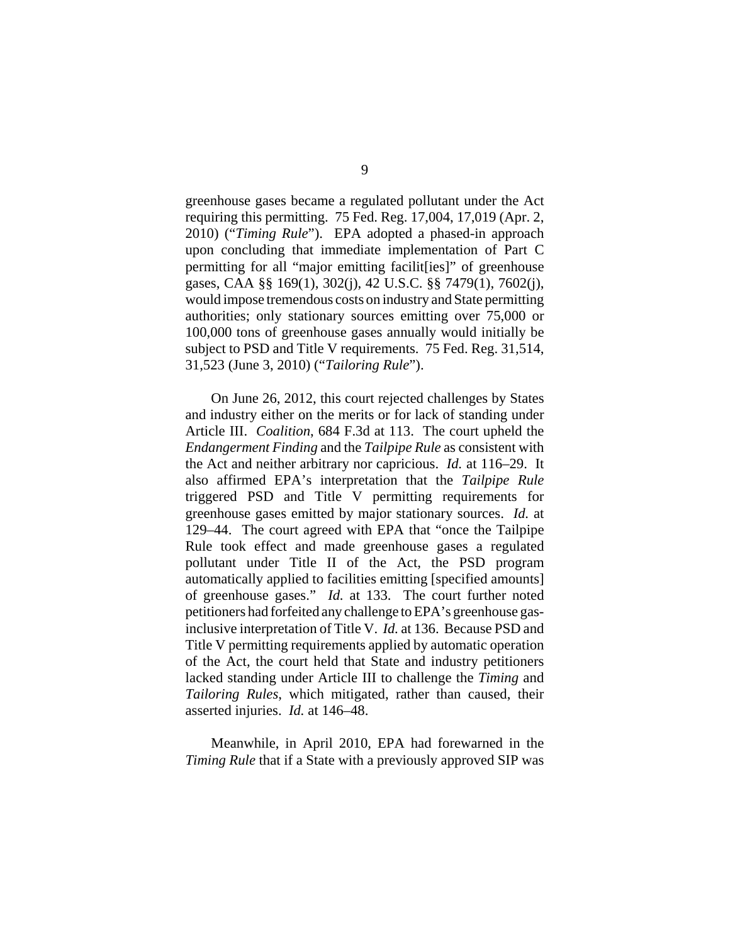greenhouse gases became a regulated pollutant under the Act requiring this permitting. 75 Fed. Reg. 17,004, 17,019 (Apr. 2, 2010) ("*Timing Rule*"). EPA adopted a phased-in approach upon concluding that immediate implementation of Part C permitting for all "major emitting facilit[ies]" of greenhouse gases, CAA §§ 169(1), 302(j), 42 U.S.C. §§ 7479(1), 7602(j), would impose tremendous costs on industry and State permitting authorities; only stationary sources emitting over 75,000 or 100,000 tons of greenhouse gases annually would initially be subject to PSD and Title V requirements. 75 Fed. Reg. 31,514, 31,523 (June 3, 2010) ("*Tailoring Rule*").

On June 26, 2012, this court rejected challenges by States and industry either on the merits or for lack of standing under Article III. *Coalition*, 684 F.3d at 113. The court upheld the *Endangerment Finding* and the *Tailpipe Rule* as consistent with the Act and neither arbitrary nor capricious. *Id.* at 116–29. It also affirmed EPA's interpretation that the *Tailpipe Rule* triggered PSD and Title V permitting requirements for greenhouse gases emitted by major stationary sources. *Id.* at 129–44. The court agreed with EPA that "once the Tailpipe Rule took effect and made greenhouse gases a regulated pollutant under Title II of the Act, the PSD program automatically applied to facilities emitting [specified amounts] of greenhouse gases." *Id.* at 133. The court further noted petitioners had forfeited any challenge to EPA's greenhouse gasinclusive interpretation of Title V. *Id.* at 136. Because PSD and Title V permitting requirements applied by automatic operation of the Act, the court held that State and industry petitioners lacked standing under Article III to challenge the *Timing* and *Tailoring Rules*, which mitigated, rather than caused, their asserted injuries. *Id.* at 146–48.

Meanwhile, in April 2010, EPA had forewarned in the *Timing Rule* that if a State with a previously approved SIP was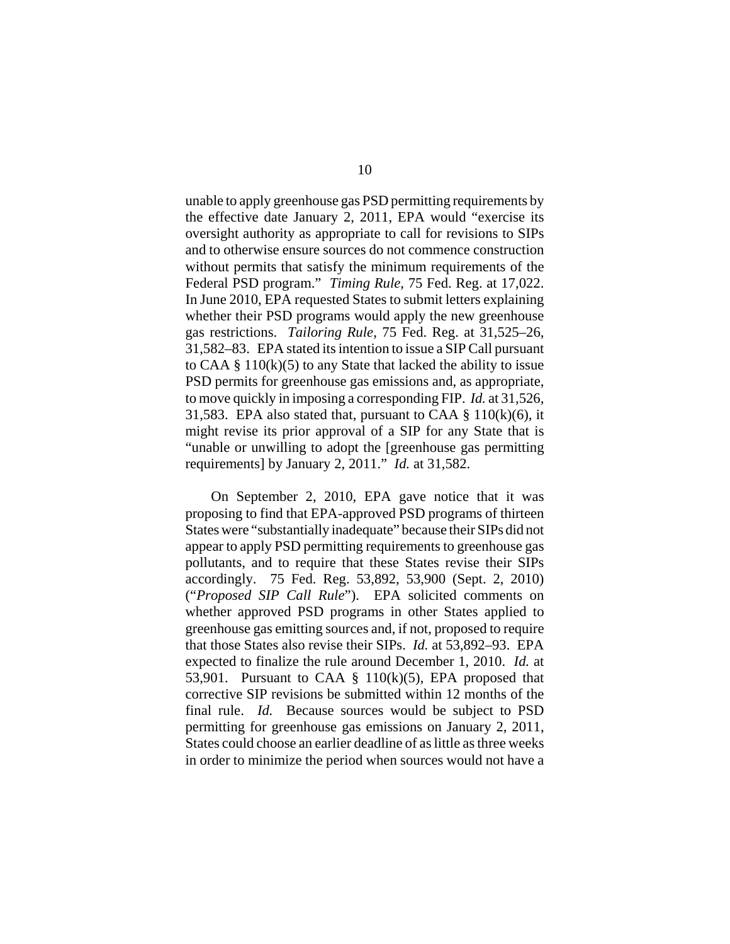unable to apply greenhouse gas PSD permitting requirements by the effective date January 2, 2011, EPA would "exercise its oversight authority as appropriate to call for revisions to SIPs and to otherwise ensure sources do not commence construction without permits that satisfy the minimum requirements of the Federal PSD program." *Timing Rule*, 75 Fed. Reg. at 17,022. In June 2010, EPA requested States to submit letters explaining whether their PSD programs would apply the new greenhouse gas restrictions. *Tailoring Rule*, 75 Fed. Reg. at 31,525–26, 31,582–83. EPA stated its intention to issue a SIP Call pursuant to CAA  $\S$  110(k)(5) to any State that lacked the ability to issue PSD permits for greenhouse gas emissions and, as appropriate, to move quickly in imposing a corresponding FIP. *Id.* at 31,526, 31,583. EPA also stated that, pursuant to CAA  $\S$  110(k)(6), it might revise its prior approval of a SIP for any State that is "unable or unwilling to adopt the [greenhouse gas permitting requirements] by January 2, 2011." *Id.* at 31,582.

On September 2, 2010, EPA gave notice that it was proposing to find that EPA-approved PSD programs of thirteen States were "substantially inadequate" because their SIPs did not appear to apply PSD permitting requirements to greenhouse gas pollutants, and to require that these States revise their SIPs accordingly. 75 Fed. Reg. 53,892, 53,900 (Sept. 2, 2010) ("*Proposed SIP Call Rule*"). EPA solicited comments on whether approved PSD programs in other States applied to greenhouse gas emitting sources and, if not, proposed to require that those States also revise their SIPs. *Id.* at 53,892–93. EPA expected to finalize the rule around December 1, 2010. *Id.* at 53,901. Pursuant to CAA  $\S$  110(k)(5), EPA proposed that corrective SIP revisions be submitted within 12 months of the final rule. *Id.* Because sources would be subject to PSD permitting for greenhouse gas emissions on January 2, 2011, States could choose an earlier deadline of as little as three weeks in order to minimize the period when sources would not have a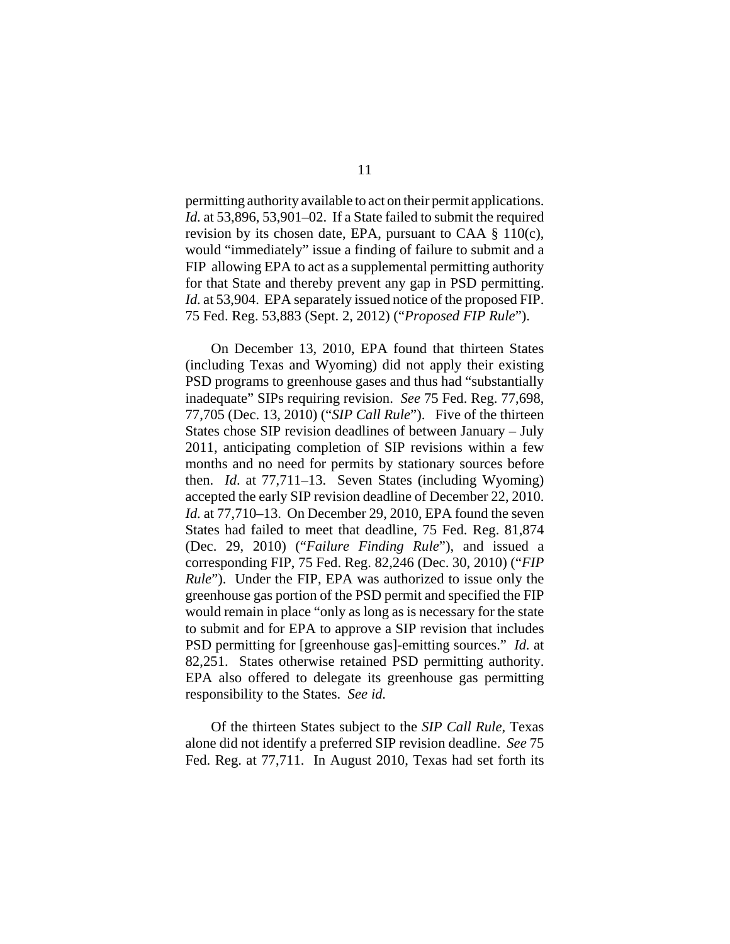permitting authority available to act on their permit applications. *Id.* at 53,896, 53,901–02. If a State failed to submit the required revision by its chosen date, EPA, pursuant to CAA  $\S$  110(c), would "immediately" issue a finding of failure to submit and a FIP allowing EPA to act as a supplemental permitting authority for that State and thereby prevent any gap in PSD permitting. *Id.* at 53,904. EPA separately issued notice of the proposed FIP. 75 Fed. Reg. 53,883 (Sept. 2, 2012) ("*Proposed FIP Rule*").

On December 13, 2010, EPA found that thirteen States (including Texas and Wyoming) did not apply their existing PSD programs to greenhouse gases and thus had "substantially inadequate" SIPs requiring revision. *See* 75 Fed. Reg. 77,698, 77,705 (Dec. 13, 2010) ("*SIP Call Rule*"). Five of the thirteen States chose SIP revision deadlines of between January – July 2011, anticipating completion of SIP revisions within a few months and no need for permits by stationary sources before then. *Id*. at 77,711–13. Seven States (including Wyoming) accepted the early SIP revision deadline of December 22, 2010. *Id.* at 77,710–13. On December 29, 2010, EPA found the seven States had failed to meet that deadline, 75 Fed. Reg. 81,874 (Dec. 29, 2010) ("*Failure Finding Rule*"), and issued a corresponding FIP, 75 Fed. Reg. 82,246 (Dec. 30, 2010) ("*FIP Rule*"). Under the FIP, EPA was authorized to issue only the greenhouse gas portion of the PSD permit and specified the FIP would remain in place "only as long as is necessary for the state to submit and for EPA to approve a SIP revision that includes PSD permitting for [greenhouse gas]-emitting sources." *Id.* at 82,251. States otherwise retained PSD permitting authority. EPA also offered to delegate its greenhouse gas permitting responsibility to the States. *See id.*

Of the thirteen States subject to the *SIP Call Rule*, Texas alone did not identify a preferred SIP revision deadline. *See* 75 Fed. Reg. at 77,711. In August 2010, Texas had set forth its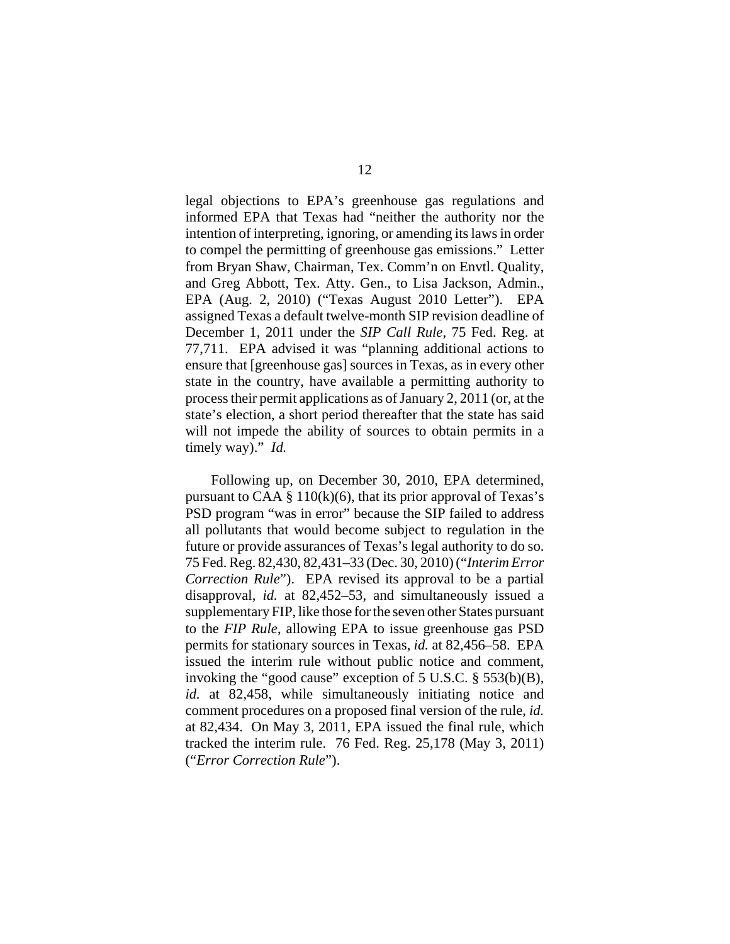legal objections to EPA's greenhouse gas regulations and informed EPA that Texas had "neither the authority nor the intention of interpreting, ignoring, or amending its laws in order to compel the permitting of greenhouse gas emissions." Letter from Bryan Shaw, Chairman, Tex. Comm'n on Envtl. Quality, and Greg Abbott, Tex. Atty. Gen., to Lisa Jackson, Admin., EPA (Aug. 2, 2010) ("Texas August 2010 Letter"). EPA assigned Texas a default twelve-month SIP revision deadline of December 1, 2011 under the *SIP Call Rule*, 75 Fed. Reg. at 77,711. EPA advised it was "planning additional actions to ensure that [greenhouse gas] sources in Texas, as in every other state in the country, have available a permitting authority to process their permit applications as of January 2, 2011 (or, at the state's election, a short period thereafter that the state has said will not impede the ability of sources to obtain permits in a timely way)." *Id.*

Following up, on December 30, 2010, EPA determined, pursuant to CAA  $\S 110(k)(6)$ , that its prior approval of Texas's PSD program "was in error" because the SIP failed to address all pollutants that would become subject to regulation in the future or provide assurances of Texas's legal authority to do so. 75 Fed. Reg. 82,430, 82,431–33 (Dec. 30, 2010) ("*Interim Error Correction Rule*"). EPA revised its approval to be a partial disapproval, *id.* at 82,452–53, and simultaneously issued a supplementary FIP, like those for the seven other States pursuant to the *FIP Rule*, allowing EPA to issue greenhouse gas PSD permits for stationary sources in Texas, *id.* at 82,456–58. EPA issued the interim rule without public notice and comment, invoking the "good cause" exception of 5 U.S.C. § 553(b)(B), *id.* at 82,458, while simultaneously initiating notice and comment procedures on a proposed final version of the rule, *id.* at 82,434. On May 3, 2011, EPA issued the final rule, which tracked the interim rule. 76 Fed. Reg. 25,178 (May 3, 2011) ("*Error Correction Rule*").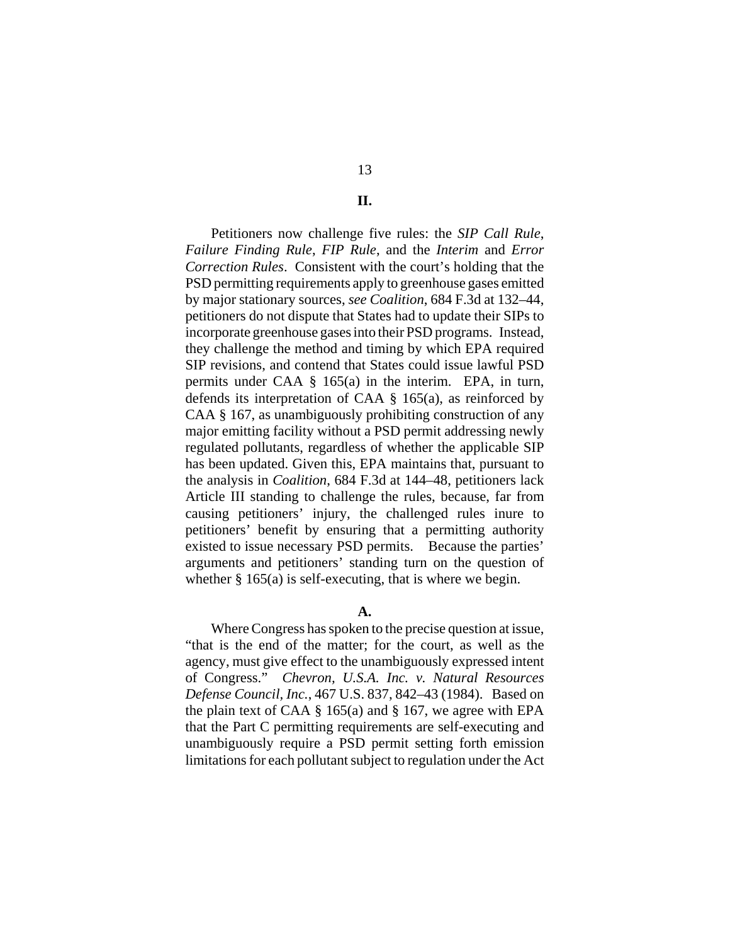# **II.**

Petitioners now challenge five rules: the *SIP Call Rule*, *Failure Finding Rule*, *FIP Rule*, and the *Interim* and *Error Correction Rules*. Consistent with the court's holding that the PSD permitting requirements apply to greenhouse gases emitted by major stationary sources, *see Coalition*, 684 F.3d at 132–44, petitioners do not dispute that States had to update their SIPs to incorporate greenhouse gases into their PSD programs. Instead, they challenge the method and timing by which EPA required SIP revisions, and contend that States could issue lawful PSD permits under CAA § 165(a) in the interim. EPA, in turn, defends its interpretation of CAA § 165(a), as reinforced by CAA § 167, as unambiguously prohibiting construction of any major emitting facility without a PSD permit addressing newly regulated pollutants, regardless of whether the applicable SIP has been updated. Given this, EPA maintains that, pursuant to the analysis in *Coalition*, 684 F.3d at 144–48, petitioners lack Article III standing to challenge the rules, because, far from causing petitioners' injury, the challenged rules inure to petitioners' benefit by ensuring that a permitting authority existed to issue necessary PSD permits. Because the parties' arguments and petitioners' standing turn on the question of whether  $\S$  165(a) is self-executing, that is where we begin.

**A.**

Where Congress has spoken to the precise question at issue, "that is the end of the matter; for the court, as well as the agency, must give effect to the unambiguously expressed intent of Congress." *Chevron, U.S.A. Inc. v. Natural Resources Defense Council, Inc.*, 467 U.S. 837, 842–43 (1984). Based on the plain text of CAA  $\S$  165(a) and  $\S$  167, we agree with EPA that the Part C permitting requirements are self-executing and unambiguously require a PSD permit setting forth emission limitations for each pollutant subject to regulation under the Act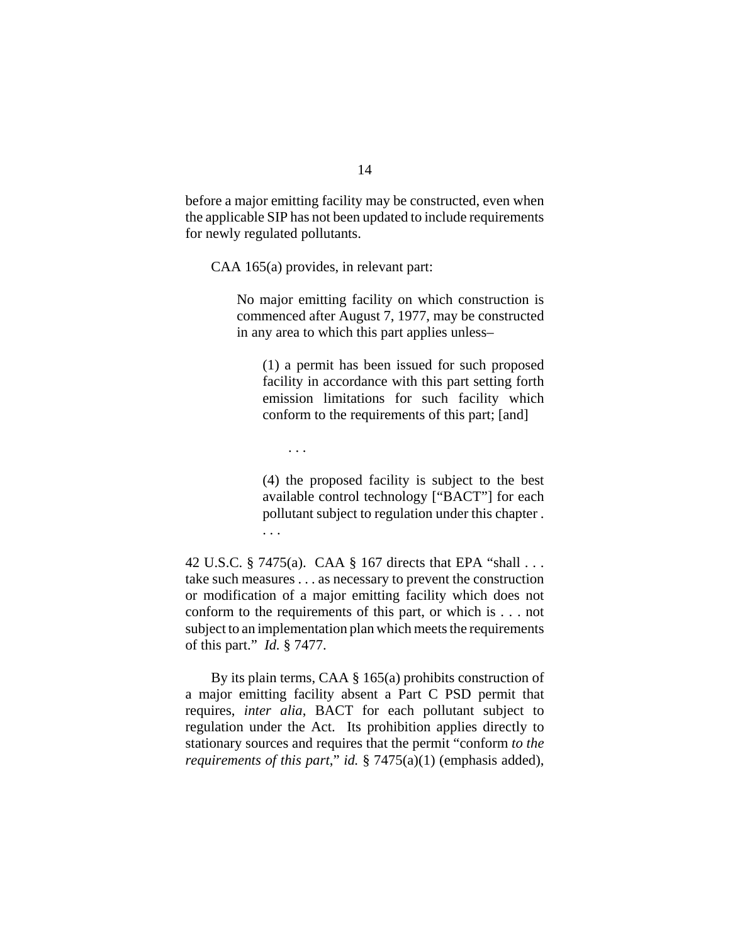before a major emitting facility may be constructed, even when the applicable SIP has not been updated to include requirements for newly regulated pollutants.

CAA 165(a) provides, in relevant part:

No major emitting facility on which construction is commenced after August 7, 1977, may be constructed in any area to which this part applies unless–

(1) a permit has been issued for such proposed facility in accordance with this part setting forth emission limitations for such facility which conform to the requirements of this part; [and]

. . .

(4) the proposed facility is subject to the best available control technology ["BACT"] for each pollutant subject to regulation under this chapter . . . .

42 U.S.C. § 7475(a). CAA § 167 directs that EPA "shall . . . take such measures . . . as necessary to prevent the construction or modification of a major emitting facility which does not conform to the requirements of this part, or which is . . . not subject to an implementation plan which meets the requirements of this part." *Id.* § 7477.

By its plain terms, CAA § 165(a) prohibits construction of a major emitting facility absent a Part C PSD permit that requires, *inter alia*, BACT for each pollutant subject to regulation under the Act. Its prohibition applies directly to stationary sources and requires that the permit "conform *to the requirements of this part*," *id.* § 7475(a)(1) (emphasis added),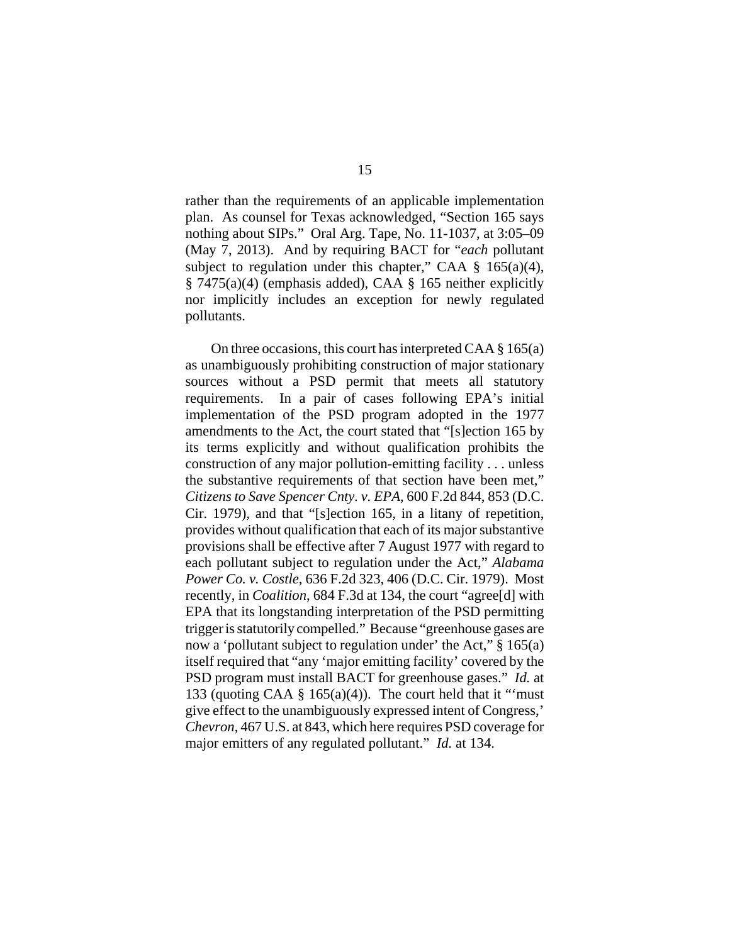rather than the requirements of an applicable implementation plan. As counsel for Texas acknowledged, "Section 165 says nothing about SIPs." Oral Arg. Tape, No. 11-1037, at 3:05–09 (May 7, 2013). And by requiring BACT for "*each* pollutant subject to regulation under this chapter," CAA  $\S$  165(a)(4), § 7475(a)(4) (emphasis added), CAA § 165 neither explicitly nor implicitly includes an exception for newly regulated pollutants.

On three occasions, this court has interpreted CAA  $\S$  165(a) as unambiguously prohibiting construction of major stationary sources without a PSD permit that meets all statutory requirements. In a pair of cases following EPA's initial implementation of the PSD program adopted in the 1977 amendments to the Act, the court stated that "[s]ection 165 by its terms explicitly and without qualification prohibits the construction of any major pollution-emitting facility . . . unless the substantive requirements of that section have been met," *Citizens to Save Spencer Cnty. v. EPA*, 600 F.2d 844, 853 (D.C. Cir. 1979), and that "[s]ection 165, in a litany of repetition, provides without qualification that each of its major substantive provisions shall be effective after 7 August 1977 with regard to each pollutant subject to regulation under the Act," *Alabama Power Co. v. Costle*, 636 F.2d 323, 406 (D.C. Cir. 1979). Most recently, in *Coalition*, 684 F.3d at 134, the court "agree[d] with EPA that its longstanding interpretation of the PSD permitting trigger is statutorily compelled." Because "greenhouse gases are now a 'pollutant subject to regulation under' the Act," § 165(a) itself required that "any 'major emitting facility' covered by the PSD program must install BACT for greenhouse gases." *Id.* at 133 (quoting CAA  $\S$  165(a)(4)). The court held that it "'must" give effect to the unambiguously expressed intent of Congress,' *Chevron*, 467 U.S. at 843, which here requires PSD coverage for major emitters of any regulated pollutant." *Id.* at 134.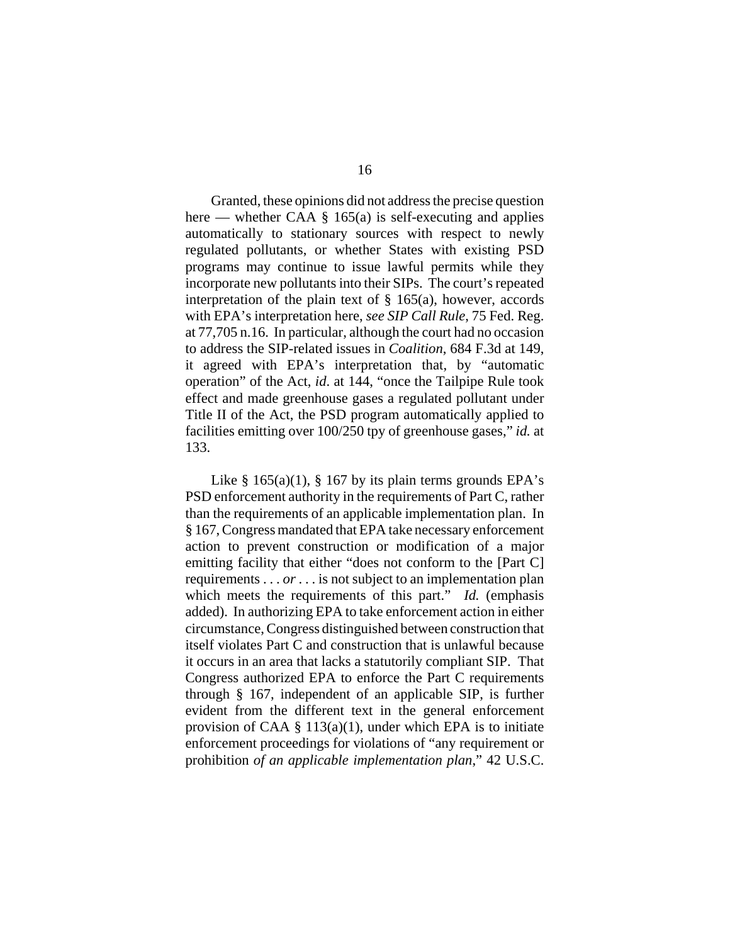Granted, these opinions did not address the precise question here — whether CAA § 165(a) is self-executing and applies automatically to stationary sources with respect to newly regulated pollutants, or whether States with existing PSD programs may continue to issue lawful permits while they incorporate new pollutants into their SIPs. The court's repeated interpretation of the plain text of  $\S$  165(a), however, accords with EPA's interpretation here, *see SIP Call Rule*, 75 Fed. Reg. at 77,705 n.16. In particular, although the court had no occasion to address the SIP-related issues in *Coalition*, 684 F.3d at 149, it agreed with EPA's interpretation that, by "automatic operation" of the Act, *id*. at 144, "once the Tailpipe Rule took effect and made greenhouse gases a regulated pollutant under Title II of the Act, the PSD program automatically applied to facilities emitting over 100/250 tpy of greenhouse gases," *id.* at 133.

Like  $\S$  165(a)(1),  $\S$  167 by its plain terms grounds EPA's PSD enforcement authority in the requirements of Part C, rather than the requirements of an applicable implementation plan. In § 167, Congress mandated that EPA take necessary enforcement action to prevent construction or modification of a major emitting facility that either "does not conform to the [Part C] requirements . . . *or* . . . is not subject to an implementation plan which meets the requirements of this part." *Id.* (emphasis added). In authorizing EPA to take enforcement action in either circumstance, Congress distinguished between construction that itself violates Part C and construction that is unlawful because it occurs in an area that lacks a statutorily compliant SIP. That Congress authorized EPA to enforce the Part C requirements through § 167, independent of an applicable SIP, is further evident from the different text in the general enforcement provision of CAA  $\S$  113(a)(1), under which EPA is to initiate enforcement proceedings for violations of "any requirement or prohibition *of an applicable implementation plan*," 42 U.S.C.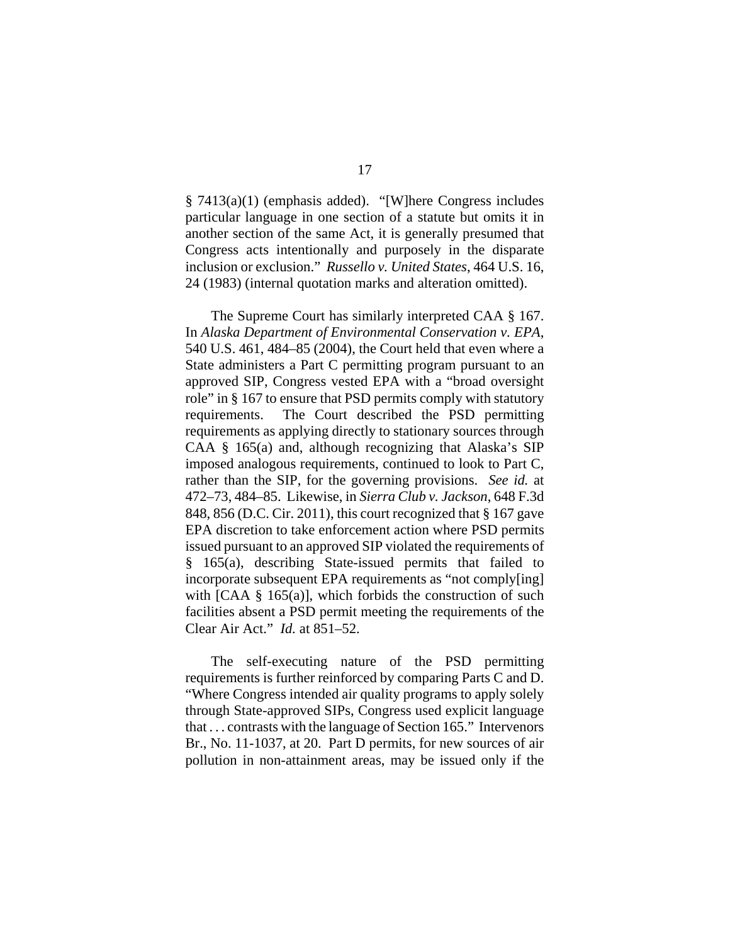§ 7413(a)(1) (emphasis added). "[W]here Congress includes particular language in one section of a statute but omits it in another section of the same Act, it is generally presumed that Congress acts intentionally and purposely in the disparate inclusion or exclusion." *Russello v. United States*, 464 U.S. 16, 24 (1983) (internal quotation marks and alteration omitted).

The Supreme Court has similarly interpreted CAA § 167. In *Alaska Department of Environmental Conservation v. EPA*, 540 U.S. 461, 484–85 (2004), the Court held that even where a State administers a Part C permitting program pursuant to an approved SIP, Congress vested EPA with a "broad oversight role" in § 167 to ensure that PSD permits comply with statutory requirements. The Court described the PSD permitting requirements as applying directly to stationary sources through CAA § 165(a) and, although recognizing that Alaska's SIP imposed analogous requirements, continued to look to Part C, rather than the SIP, for the governing provisions. *See id.* at 472–73, 484–85. Likewise, in *Sierra Club v. Jackson*, 648 F.3d 848, 856 (D.C. Cir. 2011), this court recognized that § 167 gave EPA discretion to take enforcement action where PSD permits issued pursuant to an approved SIP violated the requirements of § 165(a), describing State-issued permits that failed to incorporate subsequent EPA requirements as "not comply[ing] with  $[CAA \S 165(a)]$ , which forbids the construction of such facilities absent a PSD permit meeting the requirements of the Clear Air Act." *Id.* at 851–52.

The self-executing nature of the PSD permitting requirements is further reinforced by comparing Parts C and D. "Where Congress intended air quality programs to apply solely through State-approved SIPs, Congress used explicit language that . . . contrasts with the language of Section 165." Intervenors Br., No. 11-1037, at 20. Part D permits, for new sources of air pollution in non-attainment areas, may be issued only if the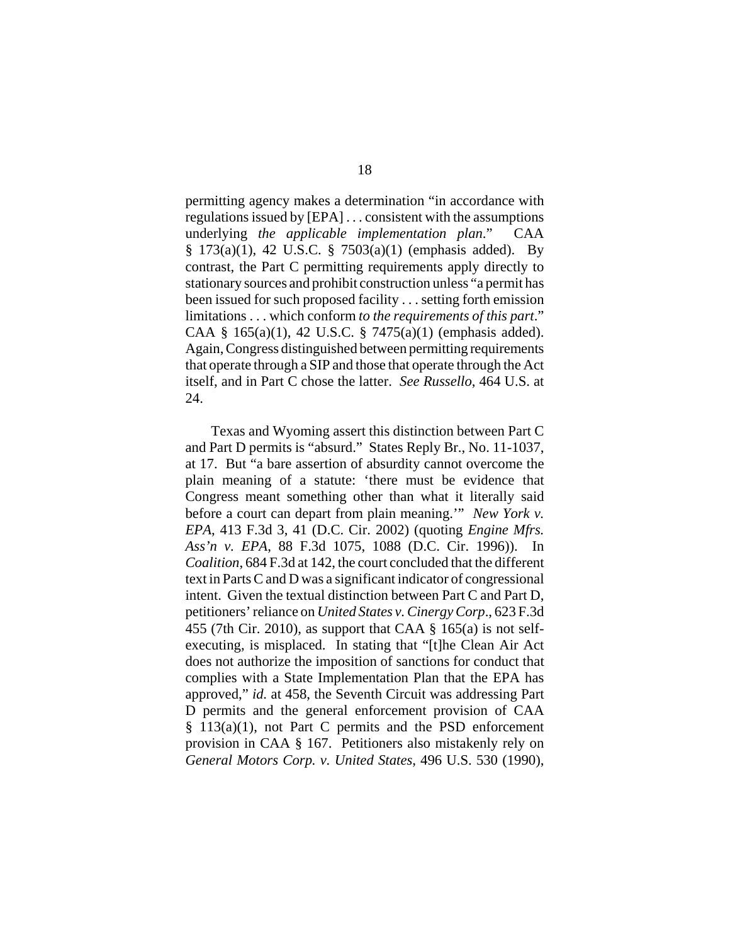permitting agency makes a determination "in accordance with regulations issued by [EPA] . . . consistent with the assumptions underlying *the applicable implementation plan*." CAA § 173(a)(1), 42 U.S.C. § 7503(a)(1) (emphasis added). By contrast, the Part C permitting requirements apply directly to stationary sources and prohibit construction unless "a permit has been issued for such proposed facility . . . setting forth emission limitations . . . which conform *to the requirements of this part*." CAA § 165(a)(1), 42 U.S.C. § 7475(a)(1) (emphasis added). Again, Congress distinguished between permitting requirements that operate through a SIP and those that operate through the Act itself, and in Part C chose the latter. *See Russello*, 464 U.S. at 24.

Texas and Wyoming assert this distinction between Part C and Part D permits is "absurd." States Reply Br., No. 11-1037, at 17. But "a bare assertion of absurdity cannot overcome the plain meaning of a statute: 'there must be evidence that Congress meant something other than what it literally said before a court can depart from plain meaning.'" *New York v. EPA*, 413 F.3d 3, 41 (D.C. Cir. 2002) (quoting *Engine Mfrs. Ass'n v. EPA*, 88 F.3d 1075, 1088 (D.C. Cir. 1996)). In *Coalition*, 684 F.3d at 142, the court concluded that the different text in Parts C and D was a significant indicator of congressional intent. Given the textual distinction between Part C and Part D, petitioners' reliance on *United States v. Cinergy Corp*., 623 F.3d 455 (7th Cir. 2010), as support that CAA  $\S$  165(a) is not selfexecuting, is misplaced. In stating that "[t]he Clean Air Act does not authorize the imposition of sanctions for conduct that complies with a State Implementation Plan that the EPA has approved," *id.* at 458, the Seventh Circuit was addressing Part D permits and the general enforcement provision of CAA § 113(a)(1), not Part C permits and the PSD enforcement provision in CAA § 167. Petitioners also mistakenly rely on *General Motors Corp. v. United States*, 496 U.S. 530 (1990),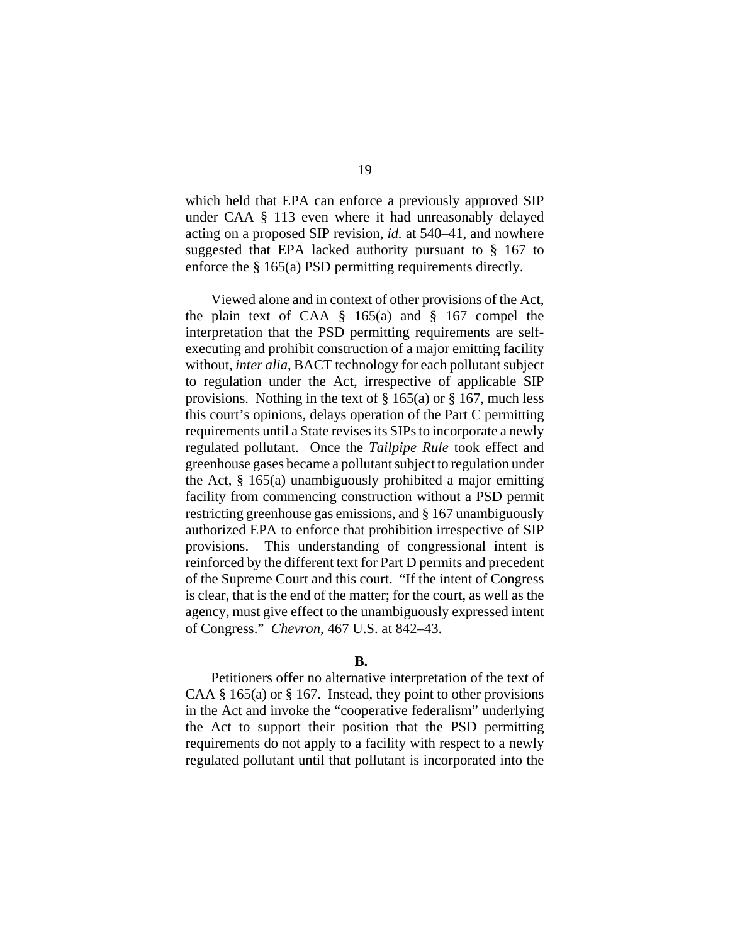which held that EPA can enforce a previously approved SIP under CAA § 113 even where it had unreasonably delayed acting on a proposed SIP revision, *id.* at 540–41, and nowhere suggested that EPA lacked authority pursuant to § 167 to enforce the § 165(a) PSD permitting requirements directly.

Viewed alone and in context of other provisions of the Act, the plain text of CAA  $\S$  165(a) and  $\S$  167 compel the interpretation that the PSD permitting requirements are selfexecuting and prohibit construction of a major emitting facility without, *inter alia*, BACT technology for each pollutant subject to regulation under the Act, irrespective of applicable SIP provisions. Nothing in the text of  $\S 165(a)$  or  $\S 167$ , much less this court's opinions, delays operation of the Part C permitting requirements until a State revises its SIPs to incorporate a newly regulated pollutant. Once the *Tailpipe Rule* took effect and greenhouse gases became a pollutant subject to regulation under the Act, § 165(a) unambiguously prohibited a major emitting facility from commencing construction without a PSD permit restricting greenhouse gas emissions, and § 167 unambiguously authorized EPA to enforce that prohibition irrespective of SIP provisions. This understanding of congressional intent is reinforced by the different text for Part D permits and precedent of the Supreme Court and this court. "If the intent of Congress is clear, that is the end of the matter; for the court, as well as the agency, must give effect to the unambiguously expressed intent of Congress." *Chevron*, 467 U.S. at 842–43.

### **B.**

Petitioners offer no alternative interpretation of the text of CAA  $\S$  165(a) or  $\S$  167. Instead, they point to other provisions in the Act and invoke the "cooperative federalism" underlying the Act to support their position that the PSD permitting requirements do not apply to a facility with respect to a newly regulated pollutant until that pollutant is incorporated into the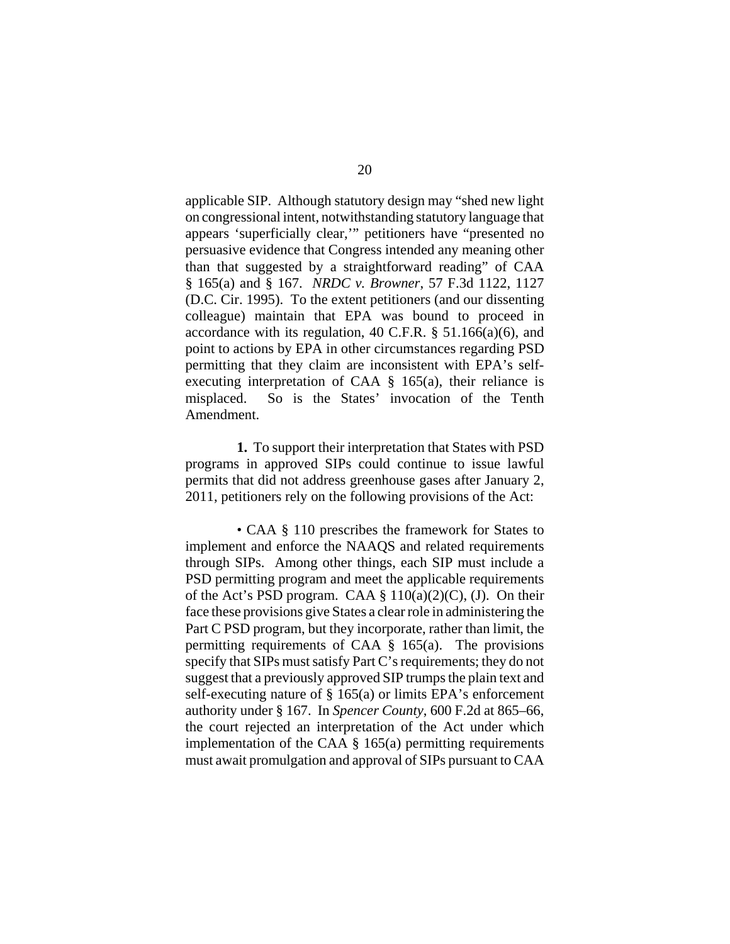applicable SIP. Although statutory design may "shed new light on congressional intent, notwithstanding statutory language that appears 'superficially clear,'" petitioners have "presented no persuasive evidence that Congress intended any meaning other than that suggested by a straightforward reading" of CAA § 165(a) and § 167. *NRDC v. Browner*, 57 F.3d 1122, 1127 (D.C. Cir. 1995). To the extent petitioners (and our dissenting colleague) maintain that EPA was bound to proceed in accordance with its regulation, 40 C.F.R. § 51.166(a)(6), and point to actions by EPA in other circumstances regarding PSD permitting that they claim are inconsistent with EPA's selfexecuting interpretation of CAA § 165(a), their reliance is misplaced. So is the States' invocation of the Tenth Amendment.

**1.** To support their interpretation that States with PSD programs in approved SIPs could continue to issue lawful permits that did not address greenhouse gases after January 2, 2011, petitioners rely on the following provisions of the Act:

• CAA § 110 prescribes the framework for States to implement and enforce the NAAQS and related requirements through SIPs. Among other things, each SIP must include a PSD permitting program and meet the applicable requirements of the Act's PSD program. CAA  $\S$  110(a)(2)(C), (J). On their face these provisions give States a clear role in administering the Part C PSD program, but they incorporate, rather than limit, the permitting requirements of CAA § 165(a). The provisions specify that SIPs must satisfy Part C's requirements; they do not suggest that a previously approved SIP trumps the plain text and self-executing nature of § 165(a) or limits EPA's enforcement authority under § 167. In *Spencer County*, 600 F.2d at 865–66, the court rejected an interpretation of the Act under which implementation of the CAA  $\S$  165(a) permitting requirements must await promulgation and approval of SIPs pursuant to CAA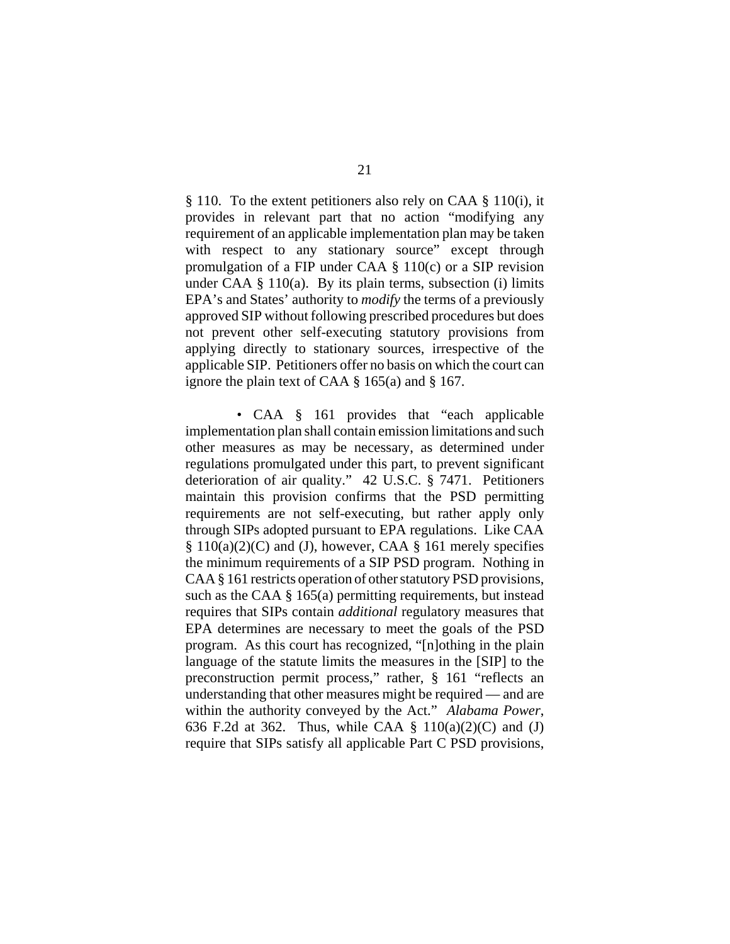§ 110. To the extent petitioners also rely on CAA § 110(i), it provides in relevant part that no action "modifying any requirement of an applicable implementation plan may be taken with respect to any stationary source" except through promulgation of a FIP under CAA § 110(c) or a SIP revision under CAA  $\S$  110(a). By its plain terms, subsection (i) limits EPA's and States' authority to *modify* the terms of a previously approved SIP without following prescribed procedures but does not prevent other self-executing statutory provisions from applying directly to stationary sources, irrespective of the applicable SIP. Petitioners offer no basis on which the court can ignore the plain text of CAA § 165(a) and § 167.

• CAA § 161 provides that "each applicable implementation plan shall contain emission limitations and such other measures as may be necessary, as determined under regulations promulgated under this part, to prevent significant deterioration of air quality." 42 U.S.C. § 7471. Petitioners maintain this provision confirms that the PSD permitting requirements are not self-executing, but rather apply only through SIPs adopted pursuant to EPA regulations. Like CAA § 110(a)(2)(C) and (J), however, CAA § 161 merely specifies the minimum requirements of a SIP PSD program. Nothing in CAA § 161 restricts operation of other statutory PSD provisions, such as the CAA § 165(a) permitting requirements, but instead requires that SIPs contain *additional* regulatory measures that EPA determines are necessary to meet the goals of the PSD program. As this court has recognized, "[n]othing in the plain language of the statute limits the measures in the [SIP] to the preconstruction permit process," rather, § 161 "reflects an understanding that other measures might be required — and are within the authority conveyed by the Act." *Alabama Power*, 636 F.2d at 362. Thus, while CAA § 110(a)(2)(C) and (J) require that SIPs satisfy all applicable Part C PSD provisions,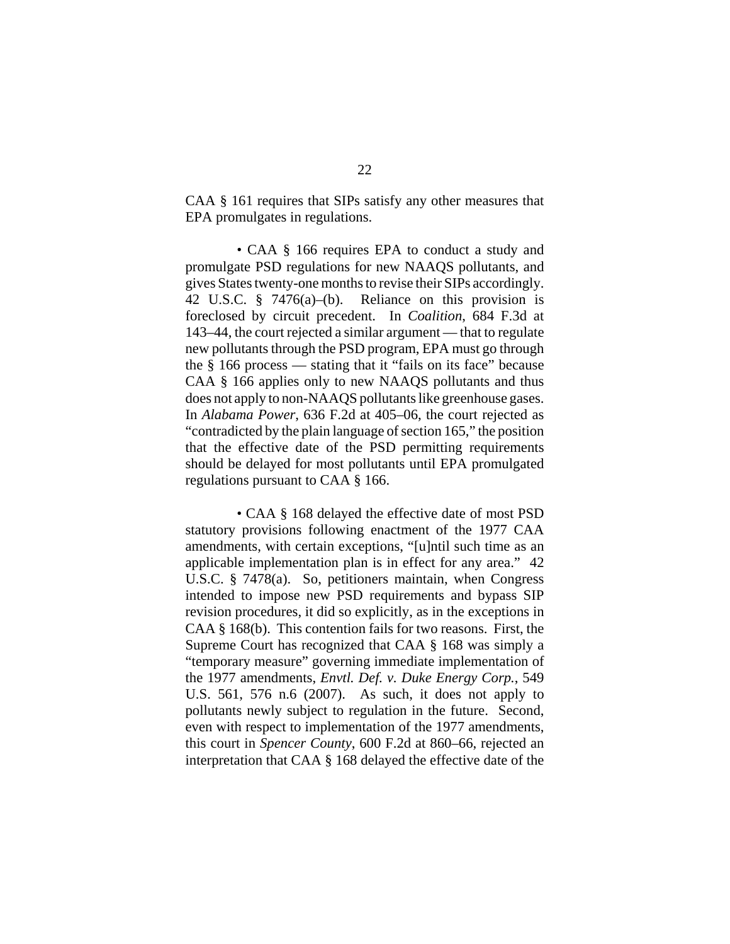CAA § 161 requires that SIPs satisfy any other measures that EPA promulgates in regulations.

• CAA § 166 requires EPA to conduct a study and promulgate PSD regulations for new NAAQS pollutants, and gives States twenty-one months to revise their SIPs accordingly. 42 U.S.C. § 7476(a)–(b). Reliance on this provision is foreclosed by circuit precedent. In *Coalition*, 684 F.3d at 143–44, the court rejected a similar argument — that to regulate new pollutants through the PSD program, EPA must go through the § 166 process — stating that it "fails on its face" because CAA § 166 applies only to new NAAQS pollutants and thus does not apply to non-NAAQS pollutants like greenhouse gases. In *Alabama Power*, 636 F.2d at 405–06, the court rejected as "contradicted by the plain language of section 165," the position that the effective date of the PSD permitting requirements should be delayed for most pollutants until EPA promulgated regulations pursuant to CAA § 166.

• CAA § 168 delayed the effective date of most PSD statutory provisions following enactment of the 1977 CAA amendments, with certain exceptions, "[u]ntil such time as an applicable implementation plan is in effect for any area." 42 U.S.C. § 7478(a). So, petitioners maintain, when Congress intended to impose new PSD requirements and bypass SIP revision procedures, it did so explicitly, as in the exceptions in CAA § 168(b). This contention fails for two reasons. First, the Supreme Court has recognized that CAA § 168 was simply a "temporary measure" governing immediate implementation of the 1977 amendments, *Envtl. Def. v. Duke Energy Corp.*, 549 U.S. 561, 576 n.6 (2007). As such, it does not apply to pollutants newly subject to regulation in the future. Second, even with respect to implementation of the 1977 amendments, this court in *Spencer County*, 600 F.2d at 860–66, rejected an interpretation that CAA § 168 delayed the effective date of the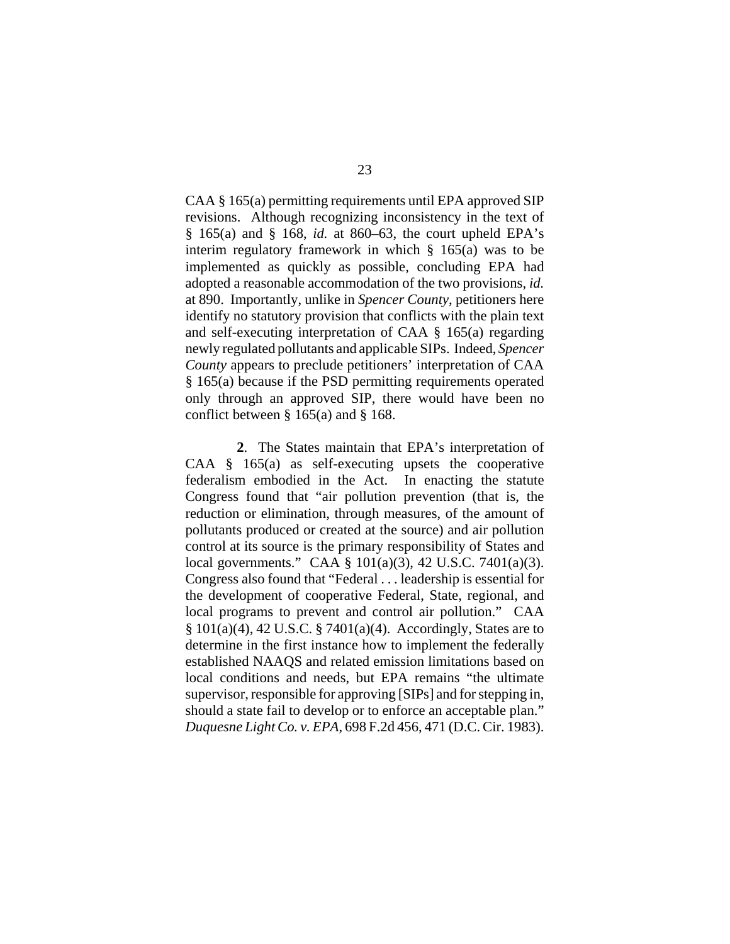CAA § 165(a) permitting requirements until EPA approved SIP revisions. Although recognizing inconsistency in the text of § 165(a) and § 168, *id.* at 860–63, the court upheld EPA's interim regulatory framework in which § 165(a) was to be implemented as quickly as possible, concluding EPA had adopted a reasonable accommodation of the two provisions, *id.* at 890. Importantly, unlike in *Spencer County*, petitioners here identify no statutory provision that conflicts with the plain text and self-executing interpretation of CAA § 165(a) regarding newly regulated pollutants and applicable SIPs. Indeed, *Spencer County* appears to preclude petitioners' interpretation of CAA § 165(a) because if the PSD permitting requirements operated only through an approved SIP, there would have been no conflict between § 165(a) and § 168.

**2**. The States maintain that EPA's interpretation of CAA § 165(a) as self-executing upsets the cooperative federalism embodied in the Act. In enacting the statute Congress found that "air pollution prevention (that is, the reduction or elimination, through measures, of the amount of pollutants produced or created at the source) and air pollution control at its source is the primary responsibility of States and local governments." CAA § 101(a)(3), 42 U.S.C. 7401(a)(3). Congress also found that "Federal . . . leadership is essential for the development of cooperative Federal, State, regional, and local programs to prevent and control air pollution." CAA § 101(a)(4), 42 U.S.C. § 7401(a)(4). Accordingly, States are to determine in the first instance how to implement the federally established NAAQS and related emission limitations based on local conditions and needs, but EPA remains "the ultimate supervisor, responsible for approving [SIPs] and for stepping in, should a state fail to develop or to enforce an acceptable plan." *Duquesne Light Co. v. EPA*, 698 F.2d 456, 471 (D.C. Cir. 1983).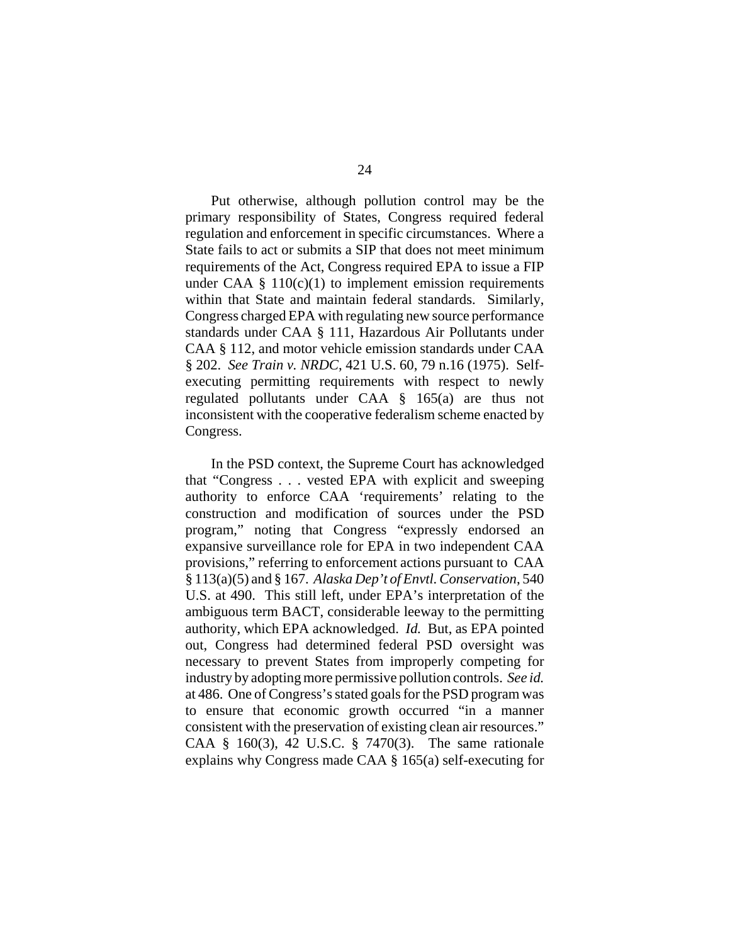Put otherwise, although pollution control may be the primary responsibility of States, Congress required federal regulation and enforcement in specific circumstances. Where a State fails to act or submits a SIP that does not meet minimum requirements of the Act, Congress required EPA to issue a FIP under CAA  $\S$  110(c)(1) to implement emission requirements within that State and maintain federal standards. Similarly, Congress charged EPA with regulating new source performance standards under CAA § 111, Hazardous Air Pollutants under CAA § 112, and motor vehicle emission standards under CAA § 202. *See Train v. NRDC*, 421 U.S. 60, 79 n.16 (1975). Selfexecuting permitting requirements with respect to newly regulated pollutants under CAA § 165(a) are thus not inconsistent with the cooperative federalism scheme enacted by Congress.

In the PSD context, the Supreme Court has acknowledged that "Congress . . . vested EPA with explicit and sweeping authority to enforce CAA 'requirements' relating to the construction and modification of sources under the PSD program," noting that Congress "expressly endorsed an expansive surveillance role for EPA in two independent CAA provisions," referring to enforcement actions pursuant to CAA § 113(a)(5) and § 167. *Alaska Dep't of Envtl. Conservation*, 540 U.S. at 490. This still left, under EPA's interpretation of the ambiguous term BACT, considerable leeway to the permitting authority, which EPA acknowledged. *Id.* But, as EPA pointed out, Congress had determined federal PSD oversight was necessary to prevent States from improperly competing for industry by adopting more permissive pollution controls. *See id.* at 486. One of Congress's stated goals for the PSD program was to ensure that economic growth occurred "in a manner consistent with the preservation of existing clean air resources." CAA § 160(3), 42 U.S.C. § 7470(3). The same rationale explains why Congress made CAA § 165(a) self-executing for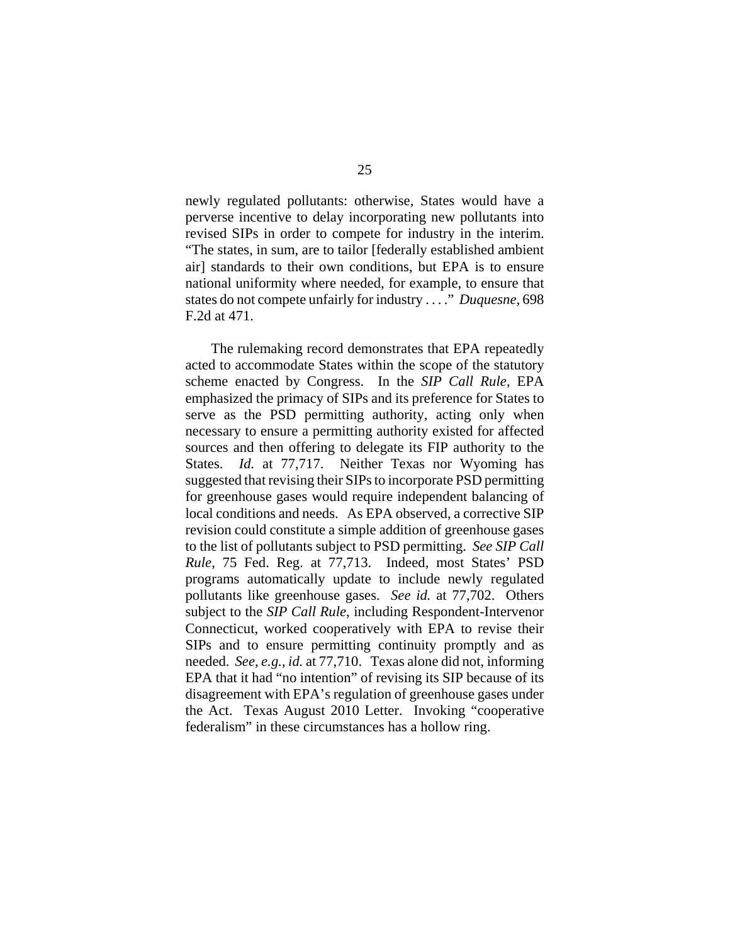newly regulated pollutants: otherwise, States would have a perverse incentive to delay incorporating new pollutants into revised SIPs in order to compete for industry in the interim. "The states, in sum, are to tailor [federally established ambient air] standards to their own conditions, but EPA is to ensure national uniformity where needed, for example, to ensure that states do not compete unfairly for industry . . . ." *Duquesne*, 698 F.2d at 471.

The rulemaking record demonstrates that EPA repeatedly acted to accommodate States within the scope of the statutory scheme enacted by Congress. In the *SIP Call Rule*, EPA emphasized the primacy of SIPs and its preference for States to serve as the PSD permitting authority, acting only when necessary to ensure a permitting authority existed for affected sources and then offering to delegate its FIP authority to the States. *Id.* at 77,717. Neither Texas nor Wyoming has suggested that revising their SIPs to incorporate PSD permitting for greenhouse gases would require independent balancing of local conditions and needs. As EPA observed, a corrective SIP revision could constitute a simple addition of greenhouse gases to the list of pollutants subject to PSD permitting. *See SIP Call Rule*, 75 Fed. Reg. at 77,713. Indeed, most States' PSD programs automatically update to include newly regulated pollutants like greenhouse gases. *See id.* at 77,702. Others subject to the *SIP Call Rule*, including Respondent-Intervenor Connecticut, worked cooperatively with EPA to revise their SIPs and to ensure permitting continuity promptly and as needed. *See, e.g.*, *id.* at 77,710. Texas alone did not, informing EPA that it had "no intention" of revising its SIP because of its disagreement with EPA's regulation of greenhouse gases under the Act. Texas August 2010 Letter. Invoking "cooperative federalism" in these circumstances has a hollow ring.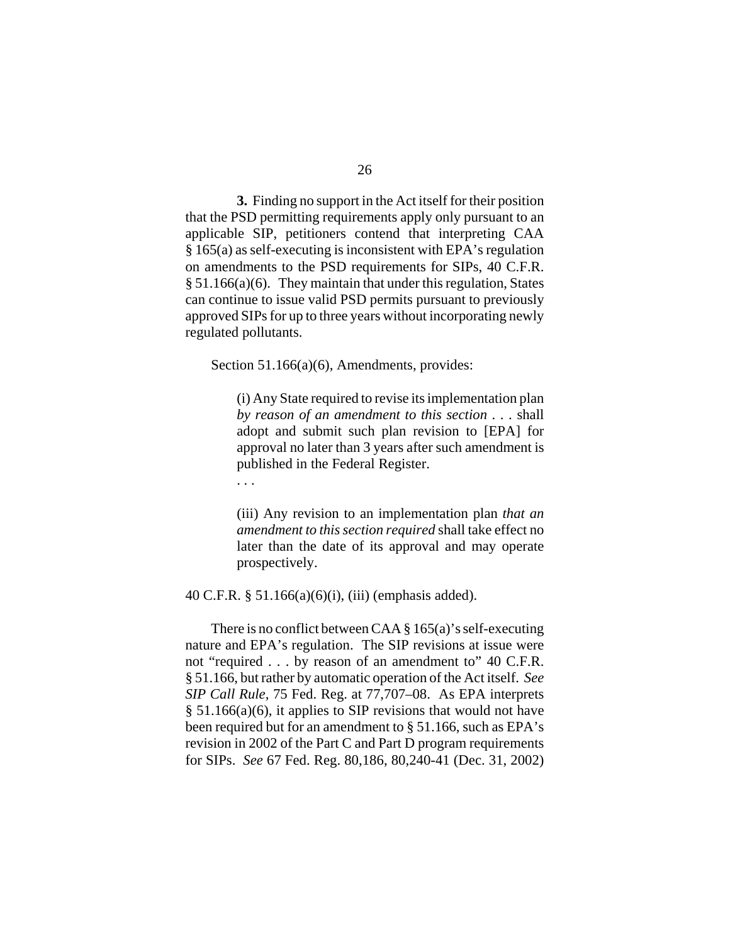**3.** Finding no support in the Act itself for their position that the PSD permitting requirements apply only pursuant to an applicable SIP, petitioners contend that interpreting CAA § 165(a) as self-executing is inconsistent with EPA's regulation on amendments to the PSD requirements for SIPs, 40 C.F.R. § 51.166(a)(6). They maintain that under this regulation, States can continue to issue valid PSD permits pursuant to previously approved SIPs for up to three years without incorporating newly regulated pollutants.

Section 51.166(a)(6), Amendments, provides:

(i) Any State required to revise its implementation plan *by reason of an amendment to this section* . . . shall adopt and submit such plan revision to [EPA] for approval no later than 3 years after such amendment is published in the Federal Register.

. . .

(iii) Any revision to an implementation plan *that an amendment to this section required* shall take effect no later than the date of its approval and may operate prospectively.

40 C.F.R. § 51.166(a)(6)(i), (iii) (emphasis added).

There is no conflict between CAA  $\S$  165(a)'s self-executing nature and EPA's regulation. The SIP revisions at issue were not "required . . . by reason of an amendment to" 40 C.F.R. § 51.166, but rather by automatic operation of the Act itself. *See SIP Call Rule*, 75 Fed. Reg. at 77,707–08. As EPA interprets § 51.166(a)(6), it applies to SIP revisions that would not have been required but for an amendment to § 51.166, such as EPA's revision in 2002 of the Part C and Part D program requirements for SIPs. *See* 67 Fed. Reg. 80,186, 80,240-41 (Dec. 31, 2002)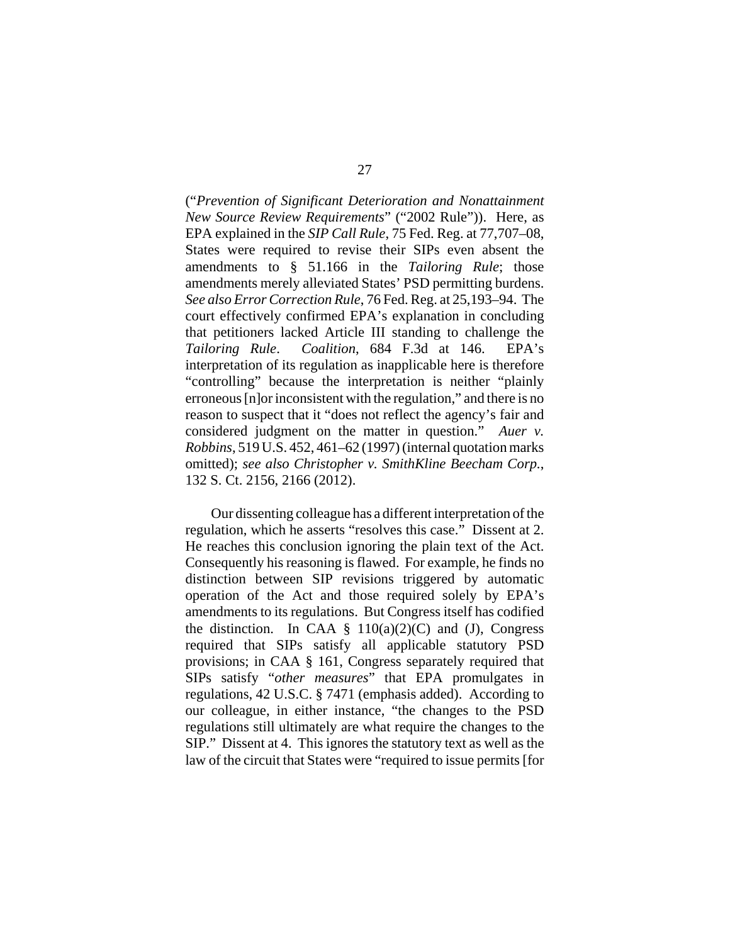("*Prevention of Significant Deterioration and Nonattainment New Source Review Requirements*" ("2002 Rule")). Here, as EPA explained in the *SIP Call Rule*, 75 Fed. Reg. at 77,707–08, States were required to revise their SIPs even absent the amendments to § 51.166 in the *Tailoring Rule*; those amendments merely alleviated States' PSD permitting burdens. *See also Error Correction Rule*, 76 Fed. Reg. at 25,193–94. The court effectively confirmed EPA's explanation in concluding that petitioners lacked Article III standing to challenge the *Tailoring Rule*. *Coalition*, 684 F.3d at 146. EPA's interpretation of its regulation as inapplicable here is therefore "controlling" because the interpretation is neither "plainly erroneous [n]or inconsistent with the regulation," and there is no reason to suspect that it "does not reflect the agency's fair and considered judgment on the matter in question." *Auer v. Robbins*, 519 U.S. 452, 461–62 (1997) (internal quotation marks omitted); *see also Christopher v. SmithKline Beecham Corp.*, 132 S. Ct. 2156, 2166 (2012).

Our dissenting colleague has a different interpretation of the regulation, which he asserts "resolves this case." Dissent at 2. He reaches this conclusion ignoring the plain text of the Act. Consequently his reasoning is flawed. For example, he finds no distinction between SIP revisions triggered by automatic operation of the Act and those required solely by EPA's amendments to its regulations. But Congress itself has codified the distinction. In CAA  $\S$  110(a)(2)(C) and (J), Congress required that SIPs satisfy all applicable statutory PSD provisions; in CAA § 161, Congress separately required that SIPs satisfy "*other measures*" that EPA promulgates in regulations, 42 U.S.C. § 7471 (emphasis added). According to our colleague, in either instance, "the changes to the PSD regulations still ultimately are what require the changes to the SIP." Dissent at 4. This ignores the statutory text as well as the law of the circuit that States were "required to issue permits [for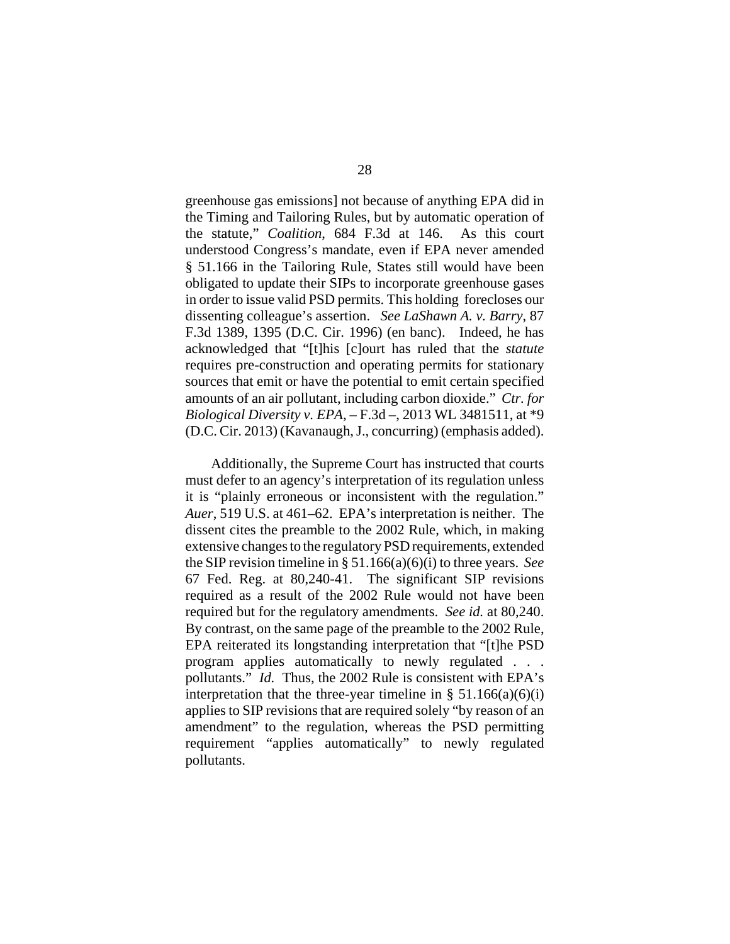greenhouse gas emissions] not because of anything EPA did in the Timing and Tailoring Rules, but by automatic operation of the statute," *Coalition*, 684 F.3d at 146. As this court understood Congress's mandate, even if EPA never amended § 51.166 in the Tailoring Rule, States still would have been obligated to update their SIPs to incorporate greenhouse gases in order to issue valid PSD permits. This holding forecloses our dissenting colleague's assertion. *See LaShawn A. v. Barry*, 87 F.3d 1389, 1395 (D.C. Cir. 1996) (en banc). Indeed, he has acknowledged that "[t]his [c]ourt has ruled that the *statute* requires pre-construction and operating permits for stationary sources that emit or have the potential to emit certain specified amounts of an air pollutant, including carbon dioxide." *Ctr. for Biological Diversity v. EPA*, – F.3d –, 2013 WL 3481511, at \*9 (D.C. Cir. 2013) (Kavanaugh, J., concurring) (emphasis added).

Additionally, the Supreme Court has instructed that courts must defer to an agency's interpretation of its regulation unless it is "plainly erroneous or inconsistent with the regulation." *Auer*, 519 U.S. at 461–62. EPA's interpretation is neither. The dissent cites the preamble to the 2002 Rule, which, in making extensive changes to the regulatory PSD requirements, extended the SIP revision timeline in § 51.166(a)(6)(i) to three years. *See* 67 Fed. Reg. at 80,240-41. The significant SIP revisions required as a result of the 2002 Rule would not have been required but for the regulatory amendments. *See id.* at 80,240. By contrast, on the same page of the preamble to the 2002 Rule, EPA reiterated its longstanding interpretation that "[t]he PSD program applies automatically to newly regulated . . . pollutants." *Id.* Thus, the 2002 Rule is consistent with EPA's interpretation that the three-year timeline in  $\S$  51.166(a)(6)(i) applies to SIP revisions that are required solely "by reason of an amendment" to the regulation, whereas the PSD permitting requirement "applies automatically" to newly regulated pollutants.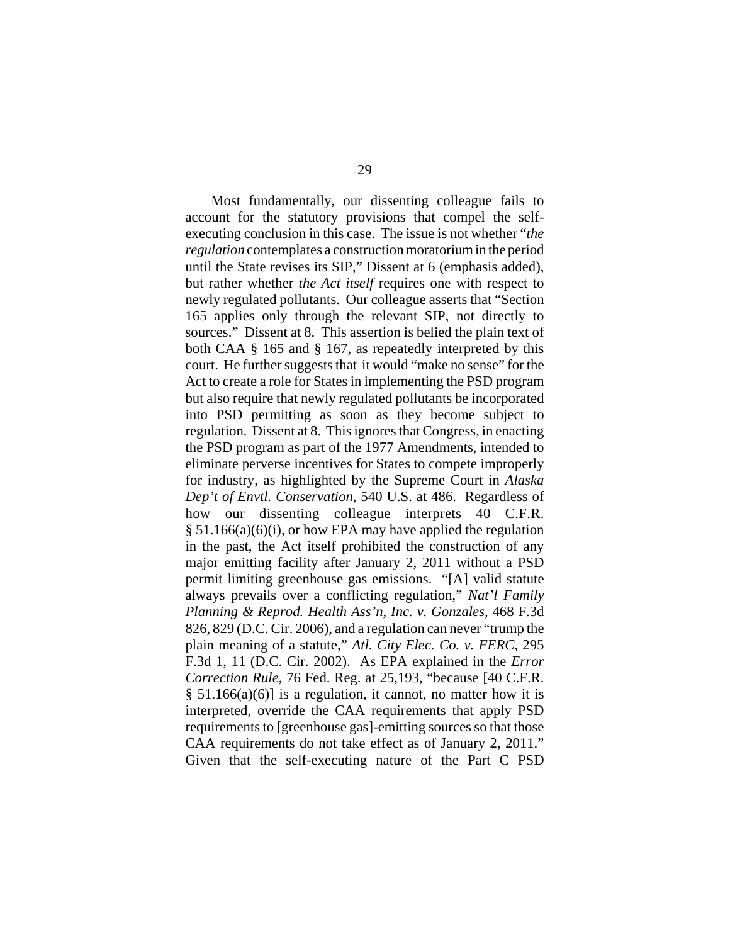Most fundamentally, our dissenting colleague fails to account for the statutory provisions that compel the selfexecuting conclusion in this case. The issue is not whether "*the regulation* contemplates a construction moratorium in the period until the State revises its SIP," Dissent at 6 (emphasis added), but rather whether *the Act itself* requires one with respect to newly regulated pollutants. Our colleague asserts that "Section 165 applies only through the relevant SIP, not directly to sources." Dissent at 8. This assertion is belied the plain text of both CAA § 165 and § 167, as repeatedly interpreted by this court. He further suggests that it would "make no sense" for the Act to create a role for States in implementing the PSD program but also require that newly regulated pollutants be incorporated into PSD permitting as soon as they become subject to regulation. Dissent at 8. This ignores that Congress, in enacting the PSD program as part of the 1977 Amendments, intended to eliminate perverse incentives for States to compete improperly for industry, as highlighted by the Supreme Court in *Alaska Dep't of Envtl. Conservation*, 540 U.S. at 486. Regardless of how our dissenting colleague interprets 40 C.F.R. § 51.166(a)(6)(i), or how EPA may have applied the regulation in the past, the Act itself prohibited the construction of any major emitting facility after January 2, 2011 without a PSD permit limiting greenhouse gas emissions. "[A] valid statute always prevails over a conflicting regulation," *Nat'l Family Planning & Reprod. Health Ass'n, Inc. v. Gonzales*, 468 F.3d 826, 829 (D.C. Cir. 2006), and a regulation can never "trump the plain meaning of a statute," *Atl. City Elec. Co. v. FERC*, 295 F.3d 1, 11 (D.C. Cir. 2002). As EPA explained in the *Error Correction Rule*, 76 Fed. Reg. at 25,193, "because [40 C.F.R. § 51.166(a)(6)] is a regulation, it cannot, no matter how it is interpreted, override the CAA requirements that apply PSD requirements to [greenhouse gas]-emitting sources so that those CAA requirements do not take effect as of January 2, 2011." Given that the self-executing nature of the Part C PSD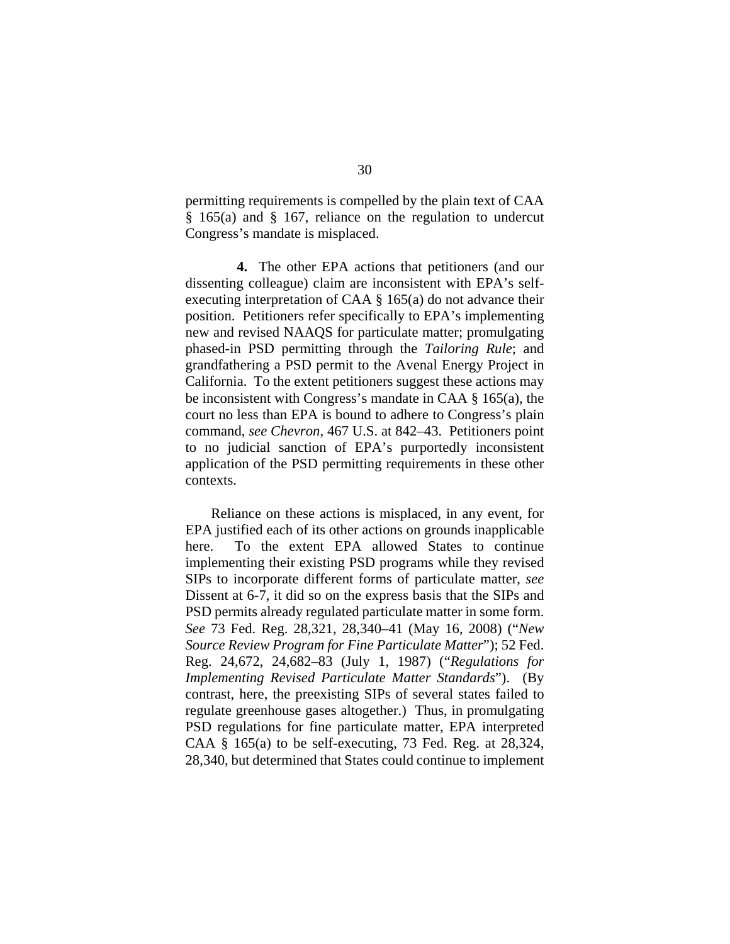permitting requirements is compelled by the plain text of CAA § 165(a) and § 167, reliance on the regulation to undercut Congress's mandate is misplaced.

**4.** The other EPA actions that petitioners (and our dissenting colleague) claim are inconsistent with EPA's selfexecuting interpretation of CAA § 165(a) do not advance their position. Petitioners refer specifically to EPA's implementing new and revised NAAQS for particulate matter; promulgating phased-in PSD permitting through the *Tailoring Rule*; and grandfathering a PSD permit to the Avenal Energy Project in California. To the extent petitioners suggest these actions may be inconsistent with Congress's mandate in CAA § 165(a), the court no less than EPA is bound to adhere to Congress's plain command, *see Chevron*, 467 U.S. at 842–43. Petitioners point to no judicial sanction of EPA's purportedly inconsistent application of the PSD permitting requirements in these other contexts.

Reliance on these actions is misplaced, in any event, for EPA justified each of its other actions on grounds inapplicable here. To the extent EPA allowed States to continue implementing their existing PSD programs while they revised SIPs to incorporate different forms of particulate matter, *see* Dissent at 6-7, it did so on the express basis that the SIPs and PSD permits already regulated particulate matter in some form. *See* 73 Fed. Reg. 28,321, 28,340–41 (May 16, 2008) ("*New Source Review Program for Fine Particulate Matter*"); 52 Fed. Reg. 24,672, 24,682–83 (July 1, 1987) ("*Regulations for Implementing Revised Particulate Matter Standards*"). (By contrast, here, the preexisting SIPs of several states failed to regulate greenhouse gases altogether.) Thus, in promulgating PSD regulations for fine particulate matter, EPA interpreted CAA § 165(a) to be self-executing, 73 Fed. Reg. at 28,324, 28,340, but determined that States could continue to implement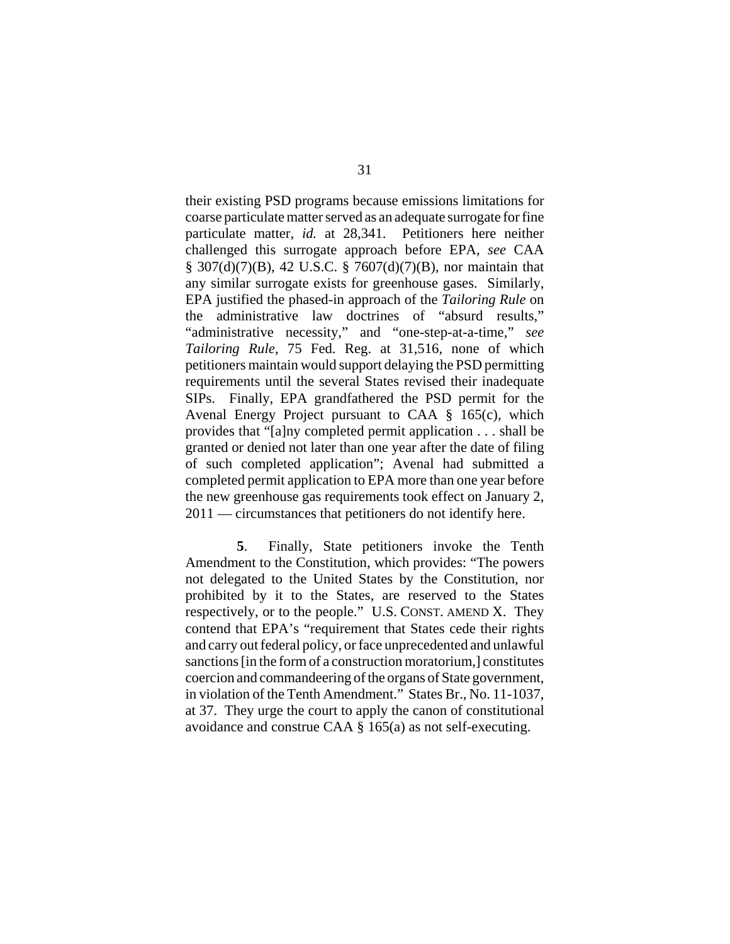their existing PSD programs because emissions limitations for coarse particulate matter served as an adequate surrogate for fine particulate matter, *id.* at 28,341. Petitioners here neither challenged this surrogate approach before EPA, *see* CAA § 307(d)(7)(B), 42 U.S.C. § 7607(d)(7)(B), nor maintain that any similar surrogate exists for greenhouse gases. Similarly, EPA justified the phased-in approach of the *Tailoring Rule* on the administrative law doctrines of "absurd results," "administrative necessity," and "one-step-at-a-time," *see Tailoring Rule*, 75 Fed. Reg. at 31,516, none of which petitioners maintain would support delaying the PSD permitting requirements until the several States revised their inadequate SIPs. Finally, EPA grandfathered the PSD permit for the Avenal Energy Project pursuant to CAA § 165(c), which provides that "[a]ny completed permit application . . . shall be granted or denied not later than one year after the date of filing of such completed application"; Avenal had submitted a completed permit application to EPA more than one year before the new greenhouse gas requirements took effect on January 2, 2011 — circumstances that petitioners do not identify here.

**5**. Finally, State petitioners invoke the Tenth Amendment to the Constitution, which provides: "The powers not delegated to the United States by the Constitution, nor prohibited by it to the States, are reserved to the States respectively, or to the people." U.S. CONST. AMEND X. They contend that EPA's "requirement that States cede their rights and carry out federal policy, or face unprecedented and unlawful sanctions [in the form of a construction moratorium,] constitutes coercion and commandeering of the organs of State government, in violation of the Tenth Amendment." States Br., No. 11-1037, at 37. They urge the court to apply the canon of constitutional avoidance and construe CAA § 165(a) as not self-executing.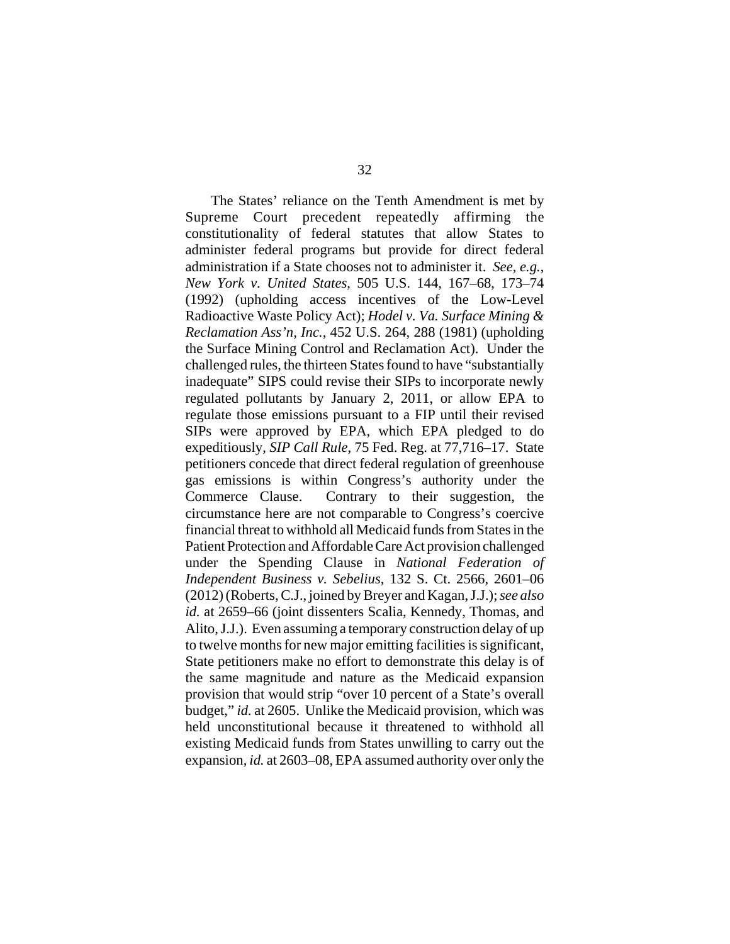The States' reliance on the Tenth Amendment is met by Supreme Court precedent repeatedly affirming the constitutionality of federal statutes that allow States to administer federal programs but provide for direct federal administration if a State chooses not to administer it. *See, e.g.*, *New York v. United States*, 505 U.S. 144, 167–68, 173–74 (1992) (upholding access incentives of the Low-Level Radioactive Waste Policy Act); *Hodel v. Va. Surface Mining & Reclamation Ass'n, Inc.*, 452 U.S. 264, 288 (1981) (upholding the Surface Mining Control and Reclamation Act). Under the challenged rules, the thirteen States found to have "substantially inadequate" SIPS could revise their SIPs to incorporate newly regulated pollutants by January 2, 2011, or allow EPA to regulate those emissions pursuant to a FIP until their revised SIPs were approved by EPA, which EPA pledged to do expeditiously, *SIP Call Rule*, 75 Fed. Reg. at 77,716–17. State petitioners concede that direct federal regulation of greenhouse gas emissions is within Congress's authority under the Commerce Clause. Contrary to their suggestion, the circumstance here are not comparable to Congress's coercive financial threat to withhold all Medicaid funds from States in the Patient Protection and Affordable Care Act provision challenged under the Spending Clause in *National Federation of Independent Business v. Sebelius*, 132 S. Ct. 2566, 2601–06 (2012) (Roberts, C.J., joined by Breyer and Kagan, J.J.); *see also id.* at 2659–66 (joint dissenters Scalia, Kennedy, Thomas, and Alito, J.J.). Even assuming a temporary construction delay of up to twelve months for new major emitting facilities is significant, State petitioners make no effort to demonstrate this delay is of the same magnitude and nature as the Medicaid expansion provision that would strip "over 10 percent of a State's overall budget," *id.* at 2605. Unlike the Medicaid provision, which was held unconstitutional because it threatened to withhold all existing Medicaid funds from States unwilling to carry out the expansion, *id.* at 2603–08, EPA assumed authority over only the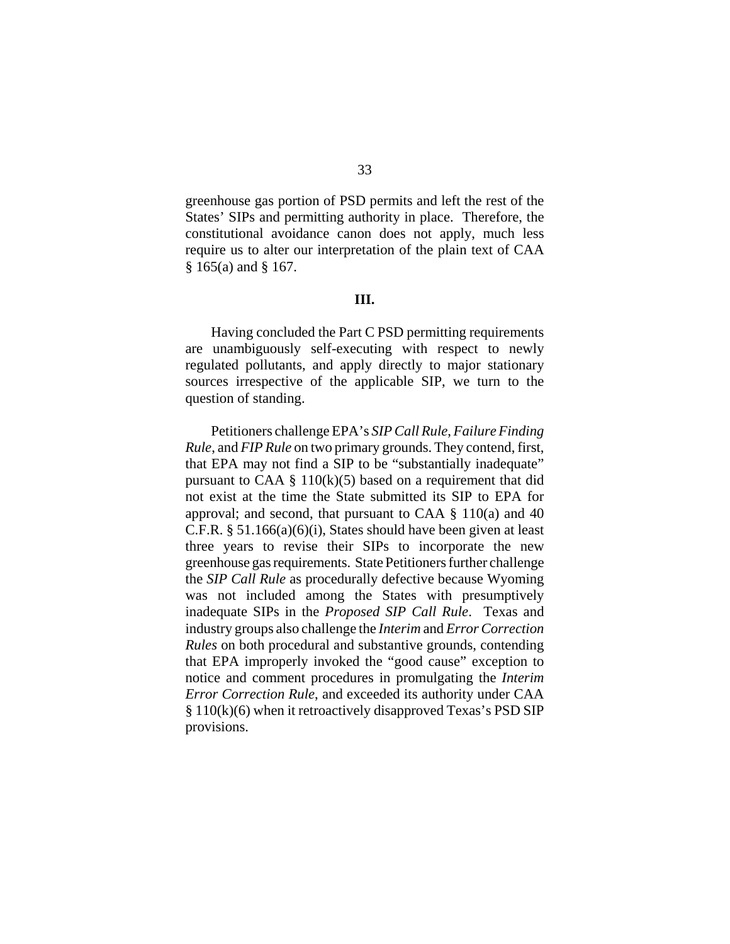greenhouse gas portion of PSD permits and left the rest of the States' SIPs and permitting authority in place. Therefore, the constitutional avoidance canon does not apply, much less require us to alter our interpretation of the plain text of CAA § 165(a) and § 167.

#### **III.**

Having concluded the Part C PSD permitting requirements are unambiguously self-executing with respect to newly regulated pollutants, and apply directly to major stationary sources irrespective of the applicable SIP, we turn to the question of standing.

Petitioners challenge EPA's *SIP Call Rule*, *Failure Finding Rule*, and *FIP Rule* on two primary grounds. They contend, first, that EPA may not find a SIP to be "substantially inadequate" pursuant to CAA  $\S$  110(k)(5) based on a requirement that did not exist at the time the State submitted its SIP to EPA for approval; and second, that pursuant to CAA  $\S$  110(a) and 40 C.F.R.  $\S$  51.166(a)(6)(i), States should have been given at least three years to revise their SIPs to incorporate the new greenhouse gas requirements. State Petitioners further challenge the *SIP Call Rule* as procedurally defective because Wyoming was not included among the States with presumptively inadequate SIPs in the *Proposed SIP Call Rule*. Texas and industry groups also challenge the *Interim* and *Error Correction Rules* on both procedural and substantive grounds, contending that EPA improperly invoked the "good cause" exception to notice and comment procedures in promulgating the *Interim Error Correction Rule*, and exceeded its authority under CAA § 110(k)(6) when it retroactively disapproved Texas's PSD SIP provisions.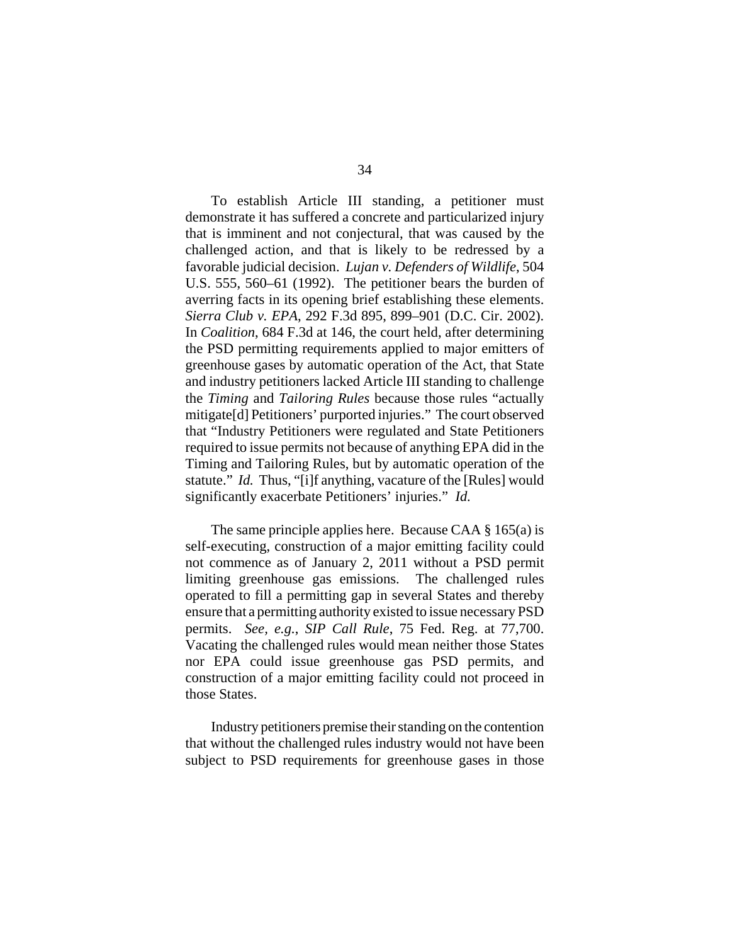To establish Article III standing, a petitioner must demonstrate it has suffered a concrete and particularized injury that is imminent and not conjectural, that was caused by the challenged action, and that is likely to be redressed by a favorable judicial decision. *Lujan v. Defenders of Wildlife*, 504 U.S. 555, 560–61 (1992). The petitioner bears the burden of averring facts in its opening brief establishing these elements. *Sierra Club v. EPA*, 292 F.3d 895, 899–901 (D.C. Cir. 2002). In *Coalition*, 684 F.3d at 146, the court held, after determining the PSD permitting requirements applied to major emitters of greenhouse gases by automatic operation of the Act, that State and industry petitioners lacked Article III standing to challenge the *Timing* and *Tailoring Rules* because those rules "actually mitigate[d] Petitioners' purported injuries." The court observed that "Industry Petitioners were regulated and State Petitioners required to issue permits not because of anything EPA did in the Timing and Tailoring Rules, but by automatic operation of the statute." *Id.* Thus, "[i]f anything, vacature of the [Rules] would significantly exacerbate Petitioners' injuries." *Id.*

The same principle applies here. Because CAA  $\S$  165(a) is self-executing, construction of a major emitting facility could not commence as of January 2, 2011 without a PSD permit limiting greenhouse gas emissions. The challenged rules operated to fill a permitting gap in several States and thereby ensure that a permitting authority existed to issue necessary PSD permits. *See, e.g.*, *SIP Call Rule*, 75 Fed. Reg. at 77,700. Vacating the challenged rules would mean neither those States nor EPA could issue greenhouse gas PSD permits, and construction of a major emitting facility could not proceed in those States.

Industry petitioners premise their standing on the contention that without the challenged rules industry would not have been subject to PSD requirements for greenhouse gases in those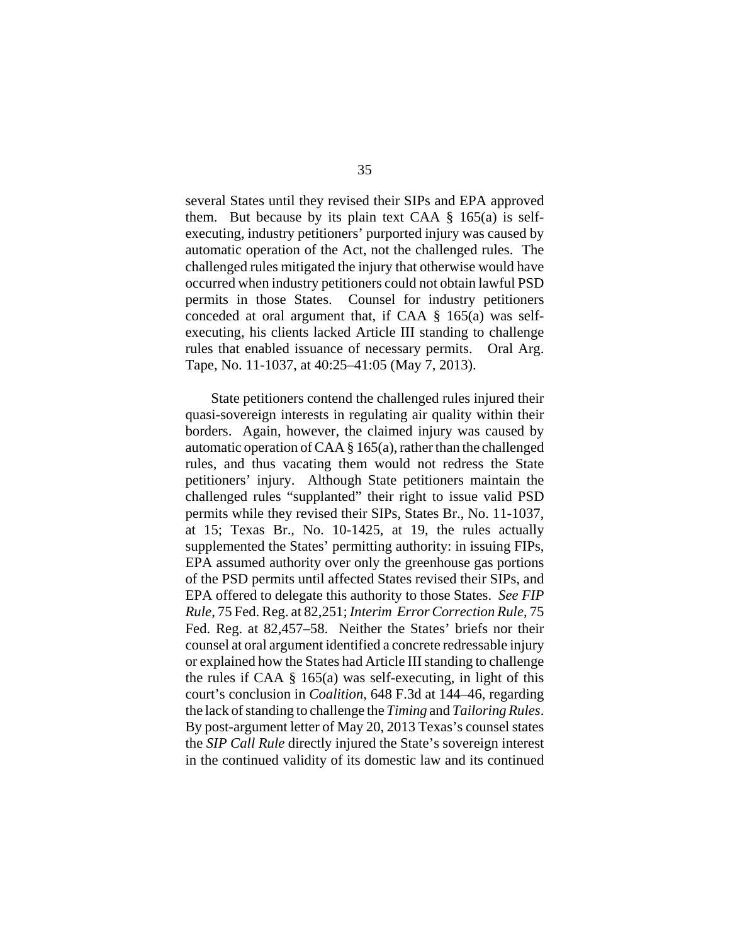several States until they revised their SIPs and EPA approved them. But because by its plain text CAA  $\S$  165(a) is selfexecuting, industry petitioners' purported injury was caused by automatic operation of the Act, not the challenged rules. The challenged rules mitigated the injury that otherwise would have occurred when industry petitioners could not obtain lawful PSD permits in those States. Counsel for industry petitioners conceded at oral argument that, if CAA § 165(a) was selfexecuting, his clients lacked Article III standing to challenge rules that enabled issuance of necessary permits. Oral Arg. Tape, No. 11-1037, at 40:25–41:05 (May 7, 2013).

State petitioners contend the challenged rules injured their quasi-sovereign interests in regulating air quality within their borders. Again, however, the claimed injury was caused by automatic operation of CAA § 165(a), rather than the challenged rules, and thus vacating them would not redress the State petitioners' injury. Although State petitioners maintain the challenged rules "supplanted" their right to issue valid PSD permits while they revised their SIPs, States Br., No. 11-1037, at 15; Texas Br., No. 10-1425, at 19, the rules actually supplemented the States' permitting authority: in issuing FIPs, EPA assumed authority over only the greenhouse gas portions of the PSD permits until affected States revised their SIPs, and EPA offered to delegate this authority to those States. *See FIP Rule*, 75 Fed. Reg. at 82,251; *Interim Error Correction Rule*, 75 Fed. Reg. at 82,457–58. Neither the States' briefs nor their counsel at oral argument identified a concrete redressable injury or explained how the States had Article III standing to challenge the rules if CAA § 165(a) was self-executing, in light of this court's conclusion in *Coalition*, 648 F.3d at 144–46, regarding the lack of standing to challenge the *Timing* and *Tailoring Rules*. By post-argument letter of May 20, 2013 Texas's counsel states the *SIP Call Rule* directly injured the State's sovereign interest in the continued validity of its domestic law and its continued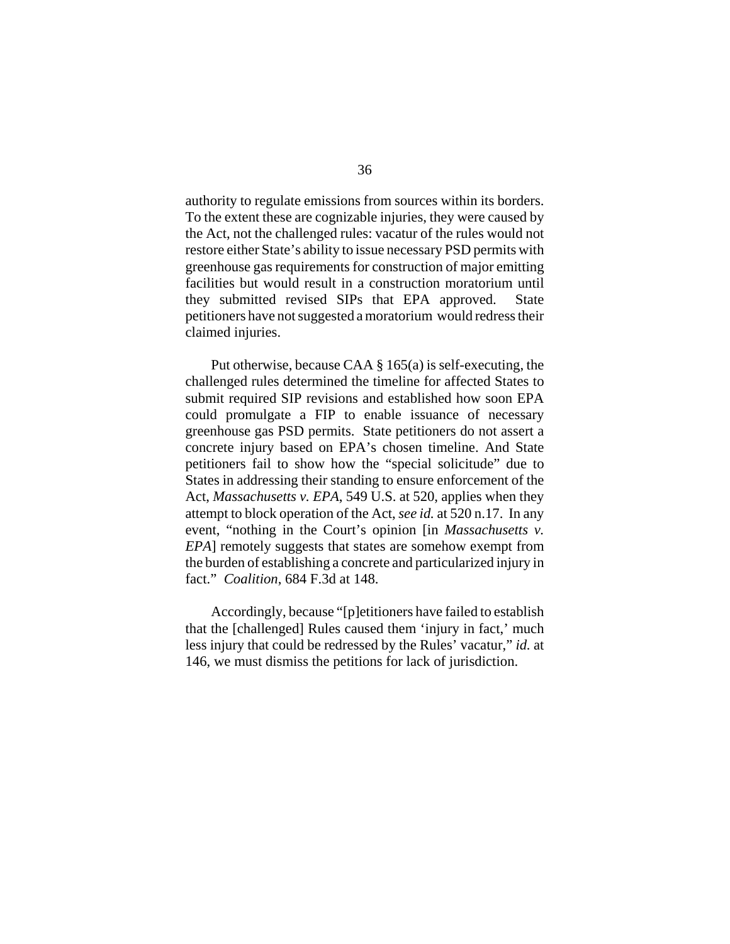authority to regulate emissions from sources within its borders. To the extent these are cognizable injuries, they were caused by the Act, not the challenged rules: vacatur of the rules would not restore either State's ability to issue necessary PSD permits with greenhouse gas requirements for construction of major emitting facilities but would result in a construction moratorium until they submitted revised SIPs that EPA approved. State petitioners have not suggested a moratorium would redress their claimed injuries.

Put otherwise, because CAA  $\S$  165(a) is self-executing, the challenged rules determined the timeline for affected States to submit required SIP revisions and established how soon EPA could promulgate a FIP to enable issuance of necessary greenhouse gas PSD permits. State petitioners do not assert a concrete injury based on EPA's chosen timeline. And State petitioners fail to show how the "special solicitude" due to States in addressing their standing to ensure enforcement of the Act, *Massachusetts v. EPA*, 549 U.S. at 520, applies when they attempt to block operation of the Act, *see id.* at 520 n.17. In any event, "nothing in the Court's opinion [in *Massachusetts v. EPA*] remotely suggests that states are somehow exempt from the burden of establishing a concrete and particularized injury in fact." *Coalition*, 684 F.3d at 148.

Accordingly, because "[p]etitioners have failed to establish that the [challenged] Rules caused them 'injury in fact,' much less injury that could be redressed by the Rules' vacatur," *id.* at 146, we must dismiss the petitions for lack of jurisdiction.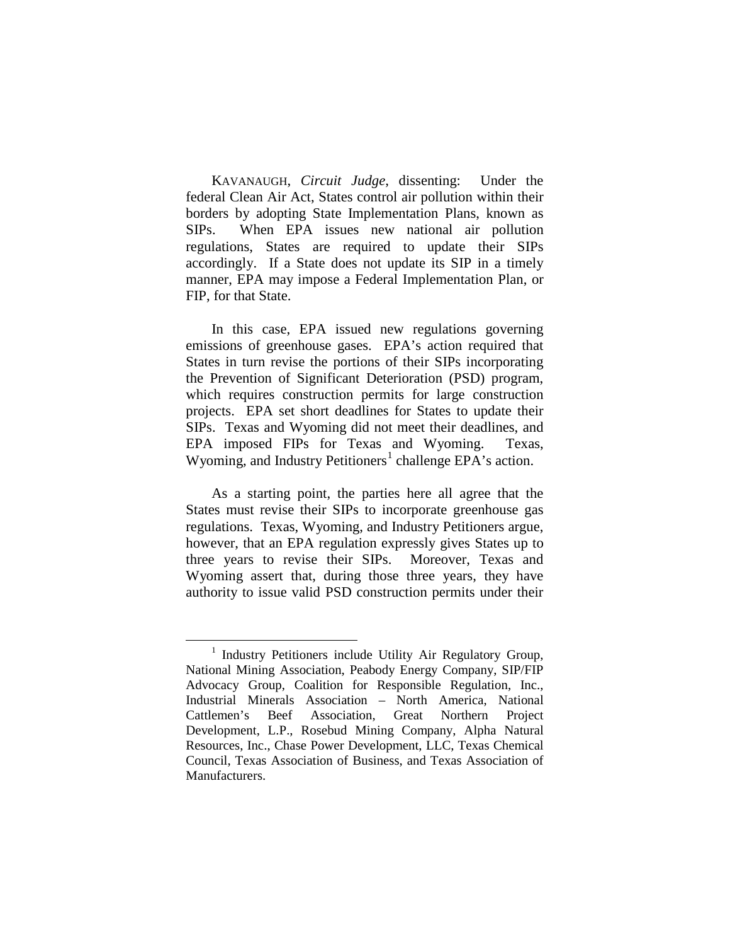KAVANAUGH, *Circuit Judge*, dissenting: Under the federal Clean Air Act, States control air pollution within their borders by adopting State Implementation Plans, known as SIPs. When EPA issues new national air pollution regulations, States are required to update their SIPs accordingly. If a State does not update its SIP in a timely manner, EPA may impose a Federal Implementation Plan, or FIP, for that State.

In this case, EPA issued new regulations governing emissions of greenhouse gases. EPA's action required that States in turn revise the portions of their SIPs incorporating the Prevention of Significant Deterioration (PSD) program, which requires construction permits for large construction projects. EPA set short deadlines for States to update their SIPs. Texas and Wyoming did not meet their deadlines, and EPA imposed FIPs for Texas and Wyoming. Texas, Wyoming, and Industry Petitioners<sup>1</sup> challenge EPA's action.

As a starting point, the parties here all agree that the States must revise their SIPs to incorporate greenhouse gas regulations. Texas, Wyoming, and Industry Petitioners argue, however, that an EPA regulation expressly gives States up to three years to revise their SIPs. Moreover, Texas and Wyoming assert that, during those three years, they have authority to issue valid PSD construction permits under their

 $1$  Industry Petitioners include Utility Air Regulatory Group, National Mining Association, Peabody Energy Company, SIP/FIP Advocacy Group, Coalition for Responsible Regulation, Inc., Industrial Minerals Association – North America, National Cattlemen's Beef Association, Great Northern Project Development, L.P., Rosebud Mining Company, Alpha Natural Resources, Inc., Chase Power Development, LLC, Texas Chemical Council, Texas Association of Business, and Texas Association of Manufacturers.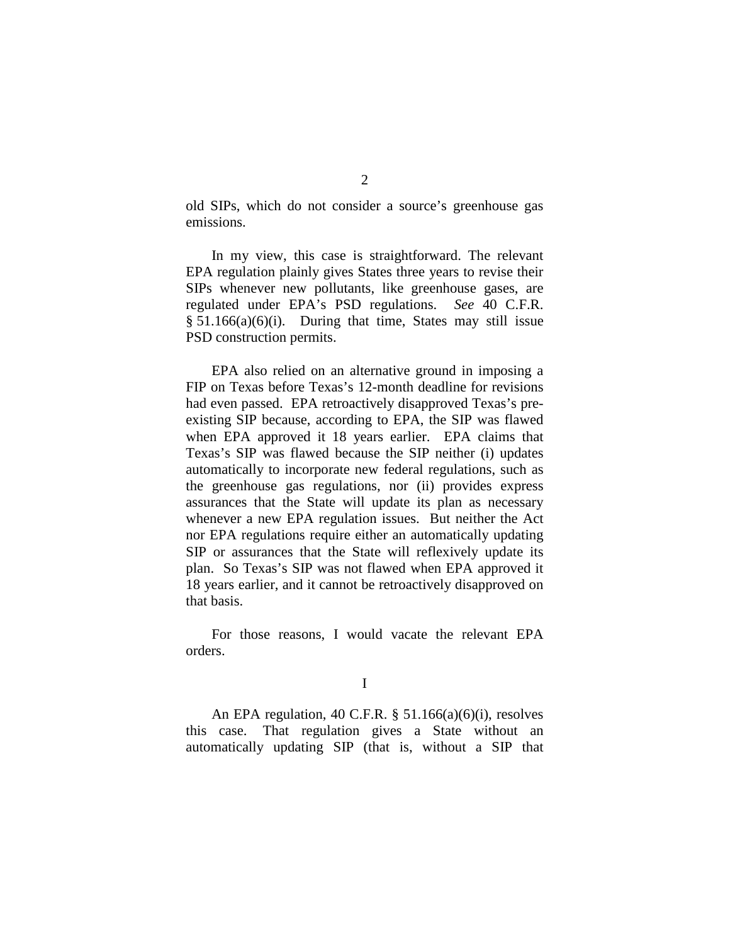old SIPs, which do not consider a source's greenhouse gas emissions.

In my view, this case is straightforward. The relevant EPA regulation plainly gives States three years to revise their SIPs whenever new pollutants, like greenhouse gases, are regulated under EPA's PSD regulations. *See* 40 C.F.R.  $§ 51.166(a)(6)(i)$ . During that time, States may still issue PSD construction permits.

EPA also relied on an alternative ground in imposing a FIP on Texas before Texas's 12-month deadline for revisions had even passed. EPA retroactively disapproved Texas's preexisting SIP because, according to EPA, the SIP was flawed when EPA approved it 18 years earlier. EPA claims that Texas's SIP was flawed because the SIP neither (i) updates automatically to incorporate new federal regulations, such as the greenhouse gas regulations, nor (ii) provides express assurances that the State will update its plan as necessary whenever a new EPA regulation issues. But neither the Act nor EPA regulations require either an automatically updating SIP or assurances that the State will reflexively update its plan. So Texas's SIP was not flawed when EPA approved it 18 years earlier, and it cannot be retroactively disapproved on that basis.

For those reasons, I would vacate the relevant EPA orders.

I

An EPA regulation, 40 C.F.R. § 51.166(a)(6)(i), resolves this case. That regulation gives a State without an automatically updating SIP (that is, without a SIP that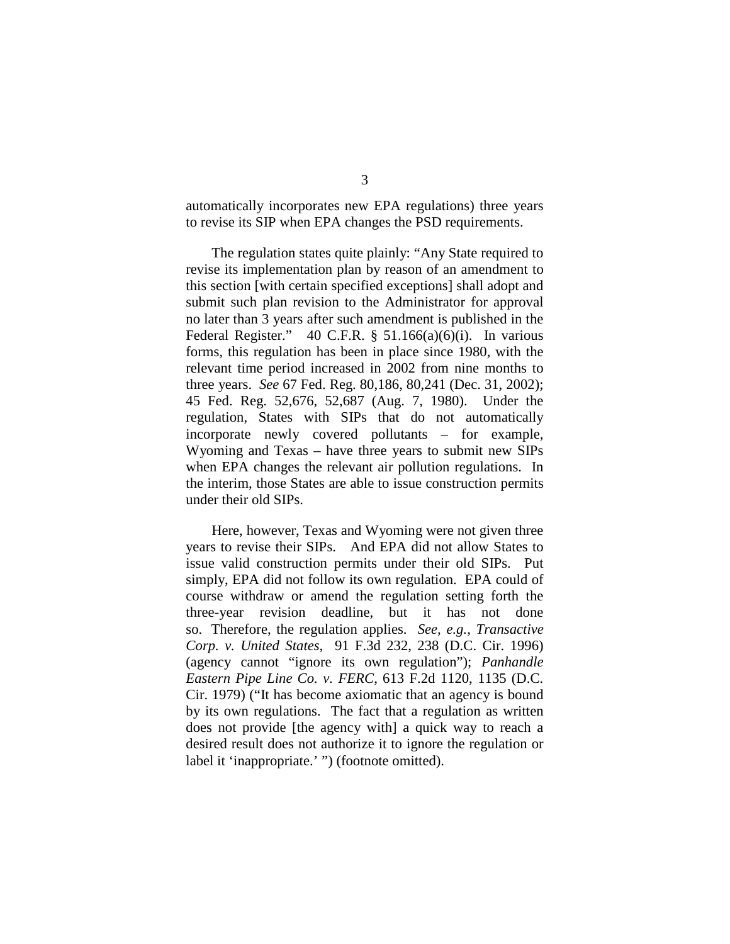automatically incorporates new EPA regulations) three years to revise its SIP when EPA changes the PSD requirements.

The regulation states quite plainly: "Any State required to revise its implementation plan by reason of an amendment to this section [with certain specified exceptions] shall adopt and submit such plan revision to the Administrator for approval no later than 3 years after such amendment is published in the Federal Register." 40 C.F.R.  $\S$  51.166(a)(6)(i). In various forms, this regulation has been in place since 1980, with the relevant time period increased in 2002 from nine months to three years. *See* 67 Fed. Reg. 80,186, 80,241 (Dec. 31, 2002); 45 Fed. Reg. 52,676, 52,687 (Aug. 7, 1980). Under the regulation, States with SIPs that do not automatically incorporate newly covered pollutants – for example, Wyoming and Texas – have three years to submit new SIPs when EPA changes the relevant air pollution regulations. In the interim, those States are able to issue construction permits under their old SIPs.

Here, however, Texas and Wyoming were not given three years to revise their SIPs. And EPA did not allow States to issue valid construction permits under their old SIPs. Put simply, EPA did not follow its own regulation. EPA could of course withdraw or amend the regulation setting forth the three-year revision deadline, but it has not done so. Therefore, the regulation applies. *See, e.g.*, *Transactive Corp. v. United States*, 91 F.3d 232, 238 (D.C. Cir. 1996) (agency cannot "ignore its own regulation"); *Panhandle Eastern Pipe Line Co. v. FERC*, 613 F.2d 1120, 1135 (D.C. Cir. 1979) ("It has become axiomatic that an agency is bound by its own regulations. The fact that a regulation as written does not provide [the agency with] a quick way to reach a desired result does not authorize it to ignore the regulation or label it 'inappropriate.' ") (footnote omitted).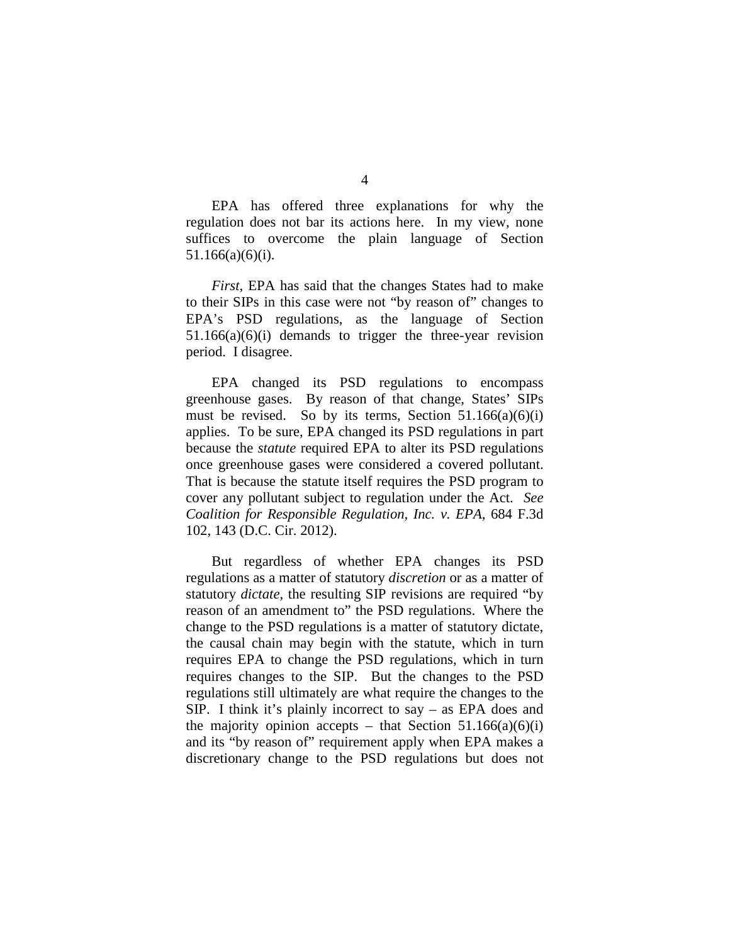EPA has offered three explanations for why the regulation does not bar its actions here. In my view, none suffices to overcome the plain language of Section 51.166(a)(6)(i).

*First*, EPA has said that the changes States had to make to their SIPs in this case were not "by reason of" changes to EPA's PSD regulations, as the language of Section  $51.166(a)(6)(i)$  demands to trigger the three-year revision period. I disagree.

EPA changed its PSD regulations to encompass greenhouse gases. By reason of that change, States' SIPs must be revised. So by its terms, Section  $51.166(a)(6)(i)$ applies. To be sure, EPA changed its PSD regulations in part because the *statute* required EPA to alter its PSD regulations once greenhouse gases were considered a covered pollutant. That is because the statute itself requires the PSD program to cover any pollutant subject to regulation under the Act. *See Coalition for Responsible Regulation, Inc. v. EPA*, 684 F.3d 102, 143 (D.C. Cir. 2012).

But regardless of whether EPA changes its PSD regulations as a matter of statutory *discretion* or as a matter of statutory *dictate*, the resulting SIP revisions are required "by reason of an amendment to" the PSD regulations. Where the change to the PSD regulations is a matter of statutory dictate, the causal chain may begin with the statute, which in turn requires EPA to change the PSD regulations, which in turn requires changes to the SIP. But the changes to the PSD regulations still ultimately are what require the changes to the SIP. I think it's plainly incorrect to say – as EPA does and the majority opinion accepts – that Section  $51.166(a)(6)(i)$ and its "by reason of" requirement apply when EPA makes a discretionary change to the PSD regulations but does not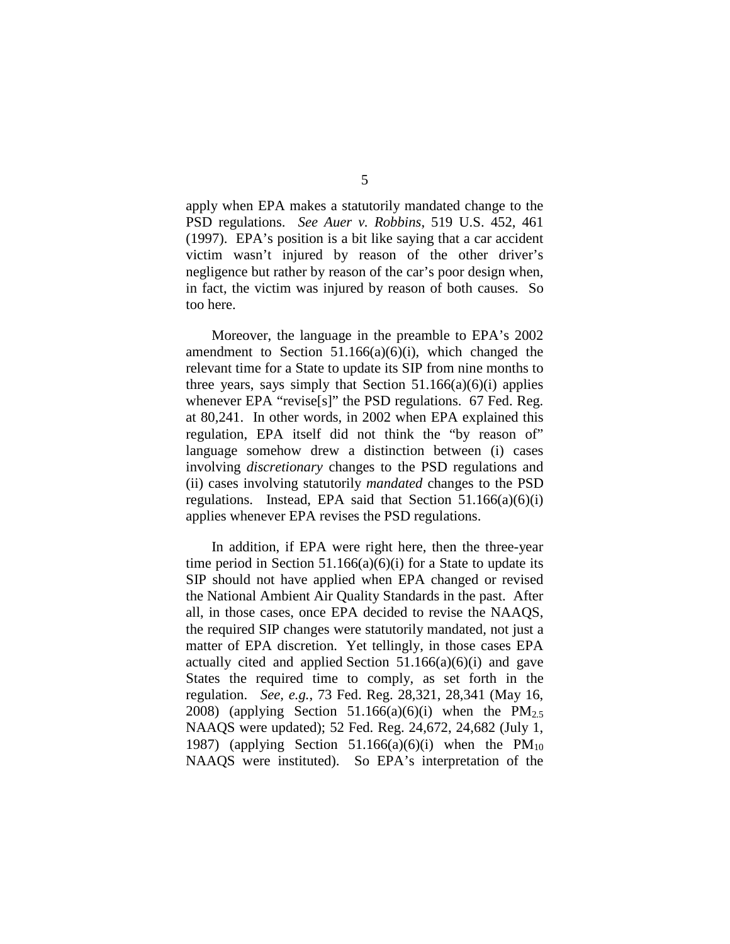apply when EPA makes a statutorily mandated change to the PSD regulations. *See Auer v. Robbins*, 519 U.S. 452, 461 (1997). EPA's position is a bit like saying that a car accident victim wasn't injured by reason of the other driver's negligence but rather by reason of the car's poor design when, in fact, the victim was injured by reason of both causes. So too here.

Moreover, the language in the preamble to EPA's 2002 amendment to Section  $51.166(a)(6)(i)$ , which changed the relevant time for a State to update its SIP from nine months to three years, says simply that Section  $51.166(a)(6)(i)$  applies whenever EPA "revise[s]" the PSD regulations. 67 Fed. Reg. at 80,241. In other words, in 2002 when EPA explained this regulation, EPA itself did not think the "by reason of" language somehow drew a distinction between (i) cases involving *discretionary* changes to the PSD regulations and (ii) cases involving statutorily *mandated* changes to the PSD regulations. Instead, EPA said that Section  $51.166(a)(6)(i)$ applies whenever EPA revises the PSD regulations.

In addition, if EPA were right here, then the three-year time period in Section  $51.166(a)(6)(i)$  for a State to update its SIP should not have applied when EPA changed or revised the National Ambient Air Quality Standards in the past. After all, in those cases, once EPA decided to revise the NAAQS, the required SIP changes were statutorily mandated, not just a matter of EPA discretion. Yet tellingly, in those cases EPA actually cited and applied Section  $51.166(a)(6)(i)$  and gave States the required time to comply, as set forth in the regulation. *See, e.g.*, 73 Fed. Reg. 28,321, 28,341 (May 16, 2008) (applying Section 51.166(a)(6)(i) when the  $PM_{2.5}$ NAAQS were updated); 52 Fed. Reg. 24,672, 24,682 (July 1, 1987) (applying Section 51.166(a)(6)(i) when the  $PM_{10}$ NAAQS were instituted). So EPA's interpretation of the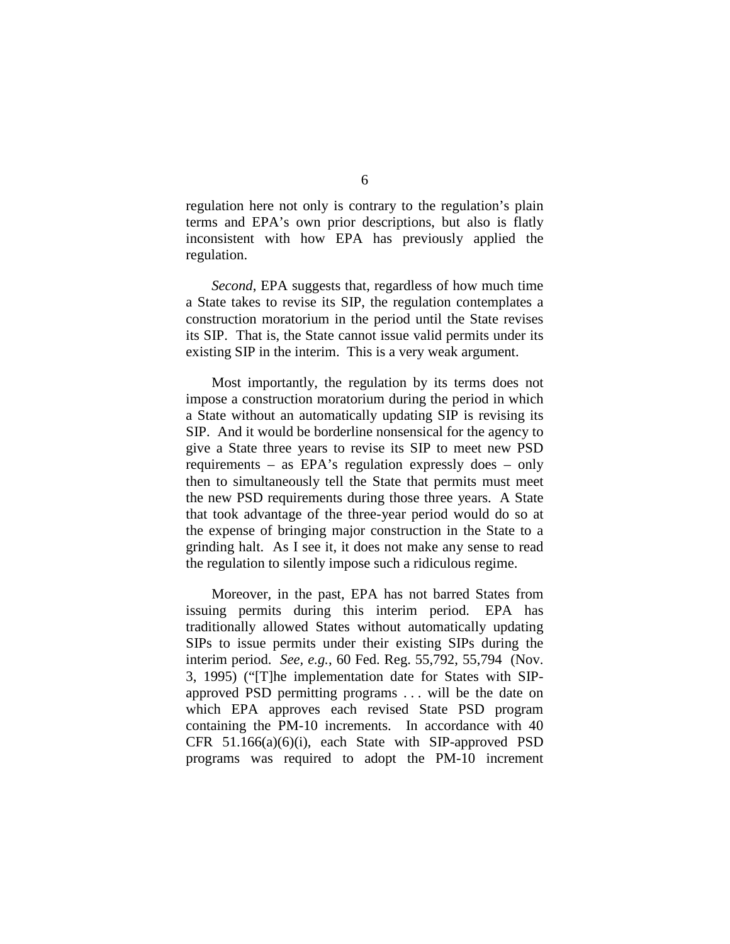regulation here not only is contrary to the regulation's plain terms and EPA's own prior descriptions, but also is flatly inconsistent with how EPA has previously applied the regulation.

*Second*, EPA suggests that, regardless of how much time a State takes to revise its SIP, the regulation contemplates a construction moratorium in the period until the State revises its SIP. That is, the State cannot issue valid permits under its existing SIP in the interim. This is a very weak argument.

Most importantly, the regulation by its terms does not impose a construction moratorium during the period in which a State without an automatically updating SIP is revising its SIP. And it would be borderline nonsensical for the agency to give a State three years to revise its SIP to meet new PSD requirements – as EPA's regulation expressly does – only then to simultaneously tell the State that permits must meet the new PSD requirements during those three years. A State that took advantage of the three-year period would do so at the expense of bringing major construction in the State to a grinding halt. As I see it, it does not make any sense to read the regulation to silently impose such a ridiculous regime.

Moreover, in the past, EPA has not barred States from issuing permits during this interim period. EPA has traditionally allowed States without automatically updating SIPs to issue permits under their existing SIPs during the interim period. *See, e.g.*, 60 Fed. Reg. 55,792, 55,794 (Nov. 3, 1995) ("[T]he implementation date for States with SIPapproved PSD permitting programs . . . will be the date on which EPA approves each revised State PSD program containing the PM-10 increments. In accordance with 40 CFR 51.166(a)(6)(i), each State with SIP-approved PSD programs was required to adopt the PM-10 increment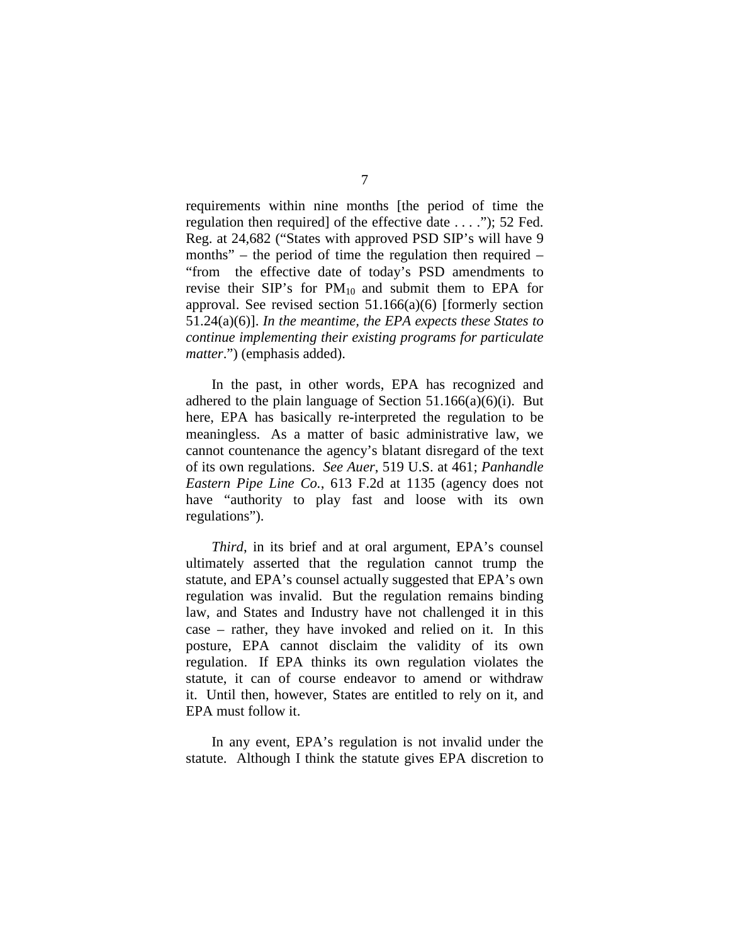requirements within nine months [the period of time the regulation then required] of the effective date . . . ."); 52 Fed. Reg. at 24,682 ("States with approved PSD SIP's will have 9 months" – the period of time the regulation then required – "from the effective date of today's PSD amendments to revise their SIP's for  $PM_{10}$  and submit them to EPA for approval. See revised section 51.166(a)(6) [formerly section 51.24(a)(6)]. *In the meantime, the EPA expects these States to continue implementing their existing programs for particulate matter*.") (emphasis added).

In the past, in other words, EPA has recognized and adhered to the plain language of Section  $51.166(a)(6)(i)$ . But here, EPA has basically re-interpreted the regulation to be meaningless. As a matter of basic administrative law, we cannot countenance the agency's blatant disregard of the text of its own regulations. *See Auer*, 519 U.S. at 461; *Panhandle Eastern Pipe Line Co.*, 613 F.2d at 1135 (agency does not have "authority to play fast and loose with its own regulations").

*Third*, in its brief and at oral argument, EPA's counsel ultimately asserted that the regulation cannot trump the statute, and EPA's counsel actually suggested that EPA's own regulation was invalid. But the regulation remains binding law, and States and Industry have not challenged it in this case – rather, they have invoked and relied on it. In this posture, EPA cannot disclaim the validity of its own regulation. If EPA thinks its own regulation violates the statute, it can of course endeavor to amend or withdraw it. Until then, however, States are entitled to rely on it, and EPA must follow it.

In any event, EPA's regulation is not invalid under the statute. Although I think the statute gives EPA discretion to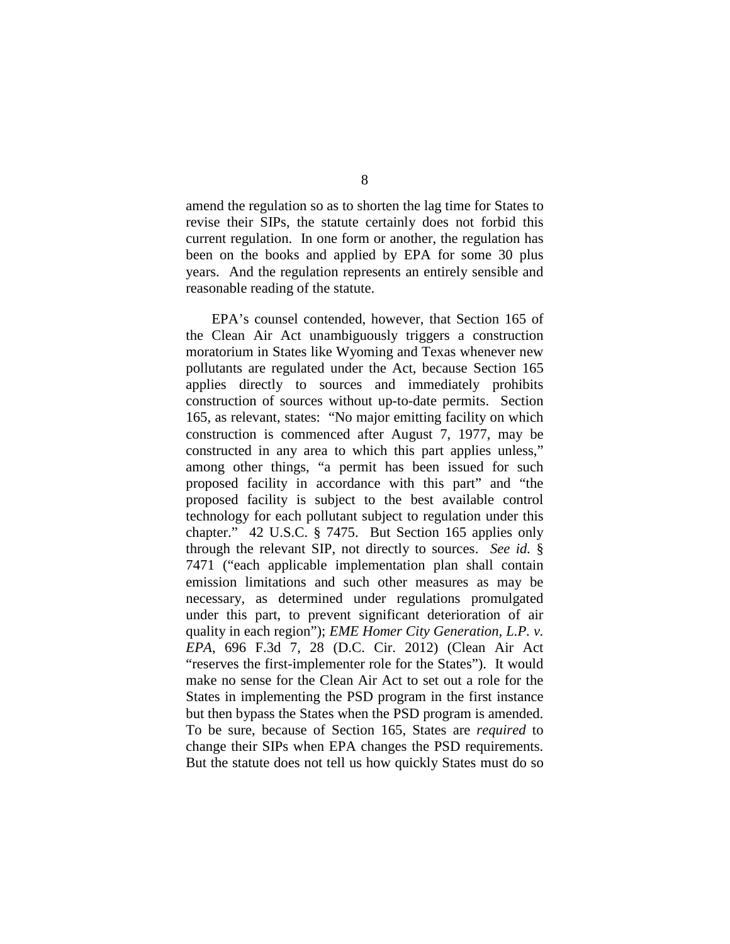amend the regulation so as to shorten the lag time for States to revise their SIPs, the statute certainly does not forbid this current regulation. In one form or another, the regulation has been on the books and applied by EPA for some 30 plus years. And the regulation represents an entirely sensible and reasonable reading of the statute.

EPA's counsel contended, however, that Section 165 of the Clean Air Act unambiguously triggers a construction moratorium in States like Wyoming and Texas whenever new pollutants are regulated under the Act, because Section 165 applies directly to sources and immediately prohibits construction of sources without up-to-date permits. Section 165, as relevant, states: "No major emitting facility on which construction is commenced after August 7, 1977, may be constructed in any area to which this part applies unless," among other things, "a permit has been issued for such proposed facility in accordance with this part" and "the proposed facility is subject to the best available control technology for each pollutant subject to regulation under this chapter." 42 U.S.C. § 7475. But Section 165 applies only through the relevant SIP, not directly to sources. *See id.* § 7471 ("each applicable implementation plan shall contain emission limitations and such other measures as may be necessary, as determined under regulations promulgated under this part, to prevent significant deterioration of air quality in each region"); *EME Homer City Generation, L.P. v. EPA*, 696 F.3d 7, 28 (D.C. Cir. 2012) (Clean Air Act "reserves the first-implementer role for the States"). It would make no sense for the Clean Air Act to set out a role for the States in implementing the PSD program in the first instance but then bypass the States when the PSD program is amended. To be sure, because of Section 165, States are *required* to change their SIPs when EPA changes the PSD requirements. But the statute does not tell us how quickly States must do so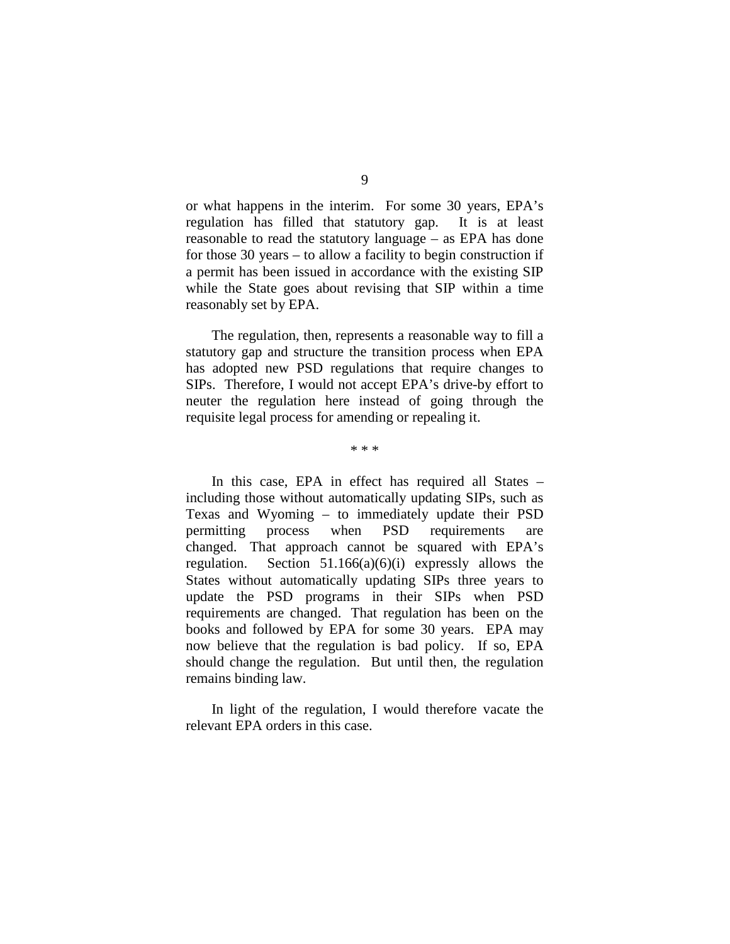or what happens in the interim. For some 30 years, EPA's regulation has filled that statutory gap. It is at least reasonable to read the statutory language – as EPA has done for those 30 years – to allow a facility to begin construction if a permit has been issued in accordance with the existing SIP while the State goes about revising that SIP within a time reasonably set by EPA.

The regulation, then, represents a reasonable way to fill a statutory gap and structure the transition process when EPA has adopted new PSD regulations that require changes to SIPs. Therefore, I would not accept EPA's drive-by effort to neuter the regulation here instead of going through the requisite legal process for amending or repealing it.

\* \* \*

In this case, EPA in effect has required all States – including those without automatically updating SIPs, such as Texas and Wyoming – to immediately update their PSD permitting process when PSD requirements are changed. That approach cannot be squared with EPA's regulation. Section 51.166(a)(6)(i) expressly allows the States without automatically updating SIPs three years to update the PSD programs in their SIPs when PSD requirements are changed. That regulation has been on the books and followed by EPA for some 30 years. EPA may now believe that the regulation is bad policy. If so, EPA should change the regulation. But until then, the regulation remains binding law.

In light of the regulation, I would therefore vacate the relevant EPA orders in this case.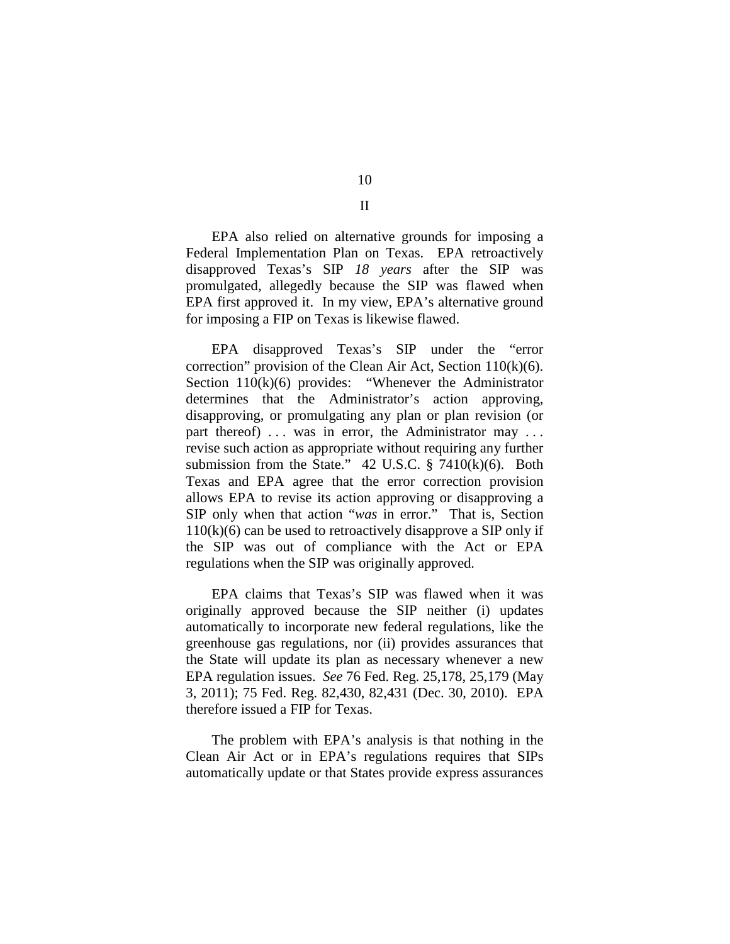EPA also relied on alternative grounds for imposing a Federal Implementation Plan on Texas. EPA retroactively disapproved Texas's SIP *18 years* after the SIP was promulgated, allegedly because the SIP was flawed when EPA first approved it. In my view, EPA's alternative ground for imposing a FIP on Texas is likewise flawed.

EPA disapproved Texas's SIP under the "error correction" provision of the Clean Air Act, Section 110(k)(6). Section  $110(k)(6)$  provides: "Whenever the Administrator" determines that the Administrator's action approving, disapproving, or promulgating any plan or plan revision (or part thereof) ... was in error, the Administrator may ... revise such action as appropriate without requiring any further submission from the State." 42 U.S.C. § 7410(k)(6). Both Texas and EPA agree that the error correction provision allows EPA to revise its action approving or disapproving a SIP only when that action "*was* in error." That is, Section  $110(k)(6)$  can be used to retroactively disapprove a SIP only if the SIP was out of compliance with the Act or EPA regulations when the SIP was originally approved.

EPA claims that Texas's SIP was flawed when it was originally approved because the SIP neither (i) updates automatically to incorporate new federal regulations, like the greenhouse gas regulations, nor (ii) provides assurances that the State will update its plan as necessary whenever a new EPA regulation issues. *See* 76 Fed. Reg. 25,178, 25,179 (May 3, 2011); 75 Fed. Reg. 82,430, 82,431 (Dec. 30, 2010). EPA therefore issued a FIP for Texas.

The problem with EPA's analysis is that nothing in the Clean Air Act or in EPA's regulations requires that SIPs automatically update or that States provide express assurances

10

II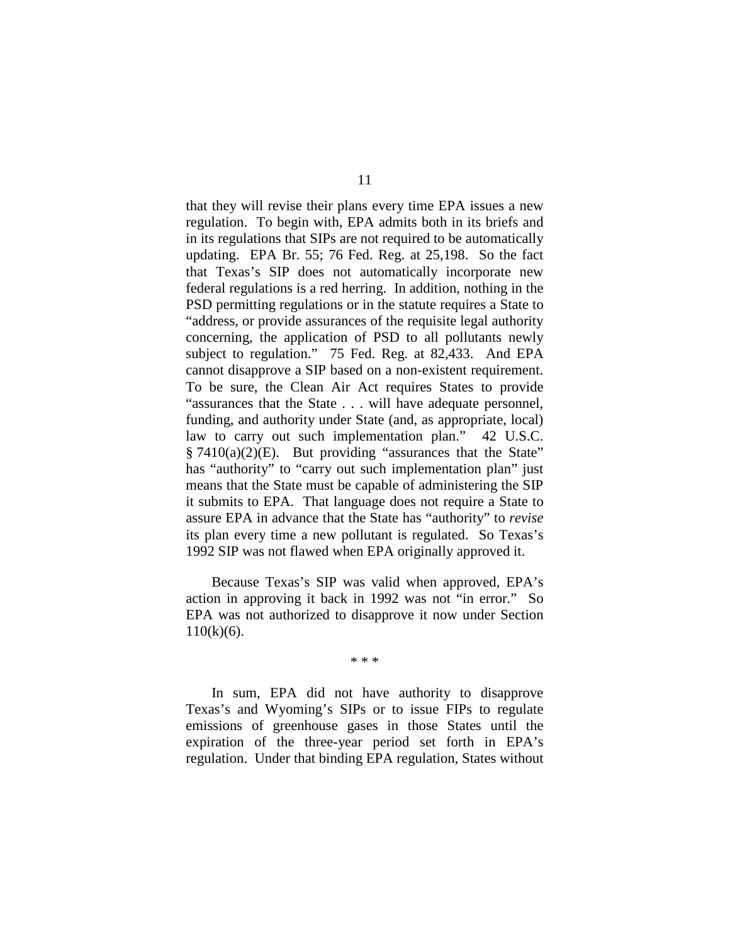that they will revise their plans every time EPA issues a new regulation. To begin with, EPA admits both in its briefs and in its regulations that SIPs are not required to be automatically updating. EPA Br. 55; 76 Fed. Reg. at 25,198. So the fact that Texas's SIP does not automatically incorporate new federal regulations is a red herring. In addition, nothing in the PSD permitting regulations or in the statute requires a State to "address, or provide assurances of the requisite legal authority concerning, the application of PSD to all pollutants newly subject to regulation." 75 Fed. Reg. at 82,433. And EPA cannot disapprove a SIP based on a non-existent requirement. To be sure, the Clean Air Act requires States to provide "assurances that the State . . . will have adequate personnel, funding, and authority under State (and, as appropriate, local) law to carry out such implementation plan." 42 U.S.C. § 7410(a)(2)(E). But providing "assurances that the State" has "authority" to "carry out such implementation plan" just means that the State must be capable of administering the SIP it submits to EPA. That language does not require a State to assure EPA in advance that the State has "authority" to *revise* its plan every time a new pollutant is regulated. So Texas's 1992 SIP was not flawed when EPA originally approved it.

Because Texas's SIP was valid when approved, EPA's action in approving it back in 1992 was not "in error." So EPA was not authorized to disapprove it now under Section  $110(k)(6)$ .

\* \* \*

In sum, EPA did not have authority to disapprove Texas's and Wyoming's SIPs or to issue FIPs to regulate emissions of greenhouse gases in those States until the expiration of the three-year period set forth in EPA's regulation. Under that binding EPA regulation, States without